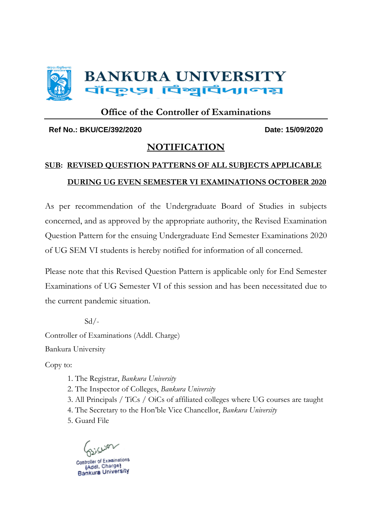

#### **Office of the Controller of Examinations**

#### **Ref No.: BKU/CE/392/2020 Date: 15/09/2020**

#### **NOTIFICATION**

#### **SUB: REVISED QUESTION PATTERNS OF ALL SUBJECTS APPLICABLE DURING UG EVEN SEMESTER VI EXAMINATIONS OCTOBER 2020**

As per recommendation of the Undergraduate Board of Studies in subjects concerned, and as approved by the appropriate authority, the Revised Examination Question Pattern for the ensuing Undergraduate End Semester Examinations 2020 of UG SEM VI students is hereby notified for information of all concerned.

Please note that this Revised Question Pattern is applicable only for End Semester Examinations of UG Semester VI of this session and has been necessitated due to the current pandemic situation.

 $Sd$  /-Controller of Examinations (Addl. Charge) Bankura University

Copy to:

1. The Registrar, *Bankura University*

2. The Inspector of Colleges, *Bankura University*

3. All Principals / TiCs / OiCs of affiliated colleges where UG courses are taught

4. The Secretary to the Hon'ble Vice Chancellor, *Bankura University*

5. Guard File

Controller of Examinations (Addl. Charge) Bankura University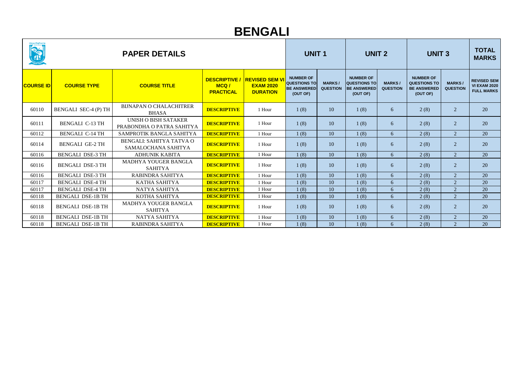| વૉ <mark>फ</mark> ़् ણ વિશ્વવિદ્યાલ<br>REAL PROPERTY | <b>PAPER DETAILS</b>        |                                                        |                                                |                                                              | <b>UNIT1</b>                                                              |                                  | <b>UNIT 2</b>                                                      |                                  | <b>UNIT 3</b>                                                             |                                 | <b>TOTAL</b><br><b>MARKS</b>                                   |
|------------------------------------------------------|-----------------------------|--------------------------------------------------------|------------------------------------------------|--------------------------------------------------------------|---------------------------------------------------------------------------|----------------------------------|--------------------------------------------------------------------|----------------------------------|---------------------------------------------------------------------------|---------------------------------|----------------------------------------------------------------|
| <b>COURSE ID</b>                                     | <b>COURSE TYPE</b>          | <b>COURSE TITLE</b>                                    | <b>DESCRIPTIVE</b><br>MCQ/<br><b>PRACTICAL</b> | <b>REVISED SEM VI</b><br><b>EXAM 2020</b><br><b>DURATION</b> | <b>NUMBER OF</b><br><b>QUESTIONS TO</b><br><b>BE ANSWERED</b><br>(OUT OF) | <b>MARKS/</b><br><b>QUESTION</b> | <b>NUMBER OF</b><br>QUESTIONS TO<br><b>BE ANSWERED</b><br>(OUT OF) | <b>MARKS/</b><br><b>QUESTION</b> | <b>NUMBER OF</b><br><b>QUESTIONS TO</b><br><b>BE ANSWERED</b><br>(OUT OF) | <b>MARKS</b><br><b>QUESTION</b> | <b>REVISED SEM</b><br><b>VI EXAM 2020</b><br><b>FULL MARKS</b> |
| 60110                                                | <b>BENGALI SEC-4 (P) TH</b> | <b>BIJNAPAN O CHALACHITRER</b><br><b>BHASA</b>         | <b>DESCRIPTIVE</b>                             | 1 Hour                                                       | 1(8)                                                                      | 10                               | 1(8)                                                               | 6                                | 2(8)                                                                      | 2                               | 20                                                             |
| 60111                                                | <b>BENGALI C-13 TH</b>      | UNISH O BISH SATAKER<br>PRABONDHA O PATRA SAHITYA      | <b>DESCRIPTIVE</b>                             | 1 Hour                                                       | 1(8)                                                                      | 10                               | 1(8)                                                               | 6                                | 2(8)                                                                      | 2                               | 20                                                             |
| 60112                                                | <b>BENGALI C-14 TH</b>      | SAMPROTIK BANGLA SAHITYA                               | <b>DESCRIPTIVE</b>                             | 1 Hour                                                       | 1(8)                                                                      | 10                               | 1(8)                                                               | 6                                | 2(8)                                                                      | 2                               | 20                                                             |
| 60114                                                | <b>BENGALI GE-2 TH</b>      | <b>BENGALI: SAHITYA TATVA O</b><br>SAMALOCHANA SAHITYA | <b>DESCRIPTIVE</b>                             | 1 Hour                                                       | 1(8)                                                                      | 10                               | 1(8)                                                               | 6                                | 2(8)                                                                      | 2                               | 20                                                             |
| 60116                                                | <b>BENGALI DSE-3 TH</b>     | <b>ADHUNIK KABITA</b>                                  | <b>DESCRIPTIVE</b>                             | 1 Hour                                                       | 1(8)                                                                      | 10                               | 1(8)                                                               | 6                                | 2(8)                                                                      | 2                               | 20                                                             |
| 60116                                                | <b>BENGALI DSE-3 TH</b>     | MADHYA YOUGER BANGLA<br><b>SAHITYA</b>                 | <b>DESCRIPTIVE</b>                             | 1 Hour                                                       | 1(8)                                                                      | 10                               | 1(8)                                                               | 6                                | 2(8)                                                                      | 2                               | 20                                                             |
| 60116                                                | <b>BENGALI DSE-3 TH</b>     | RABINDRA SAHITYA                                       | <b>DESCRIPTIVE</b>                             | 1 Hour                                                       | 1(8)                                                                      | 10                               | 1(8)                                                               | 6                                | 2(8)                                                                      | 2                               | 20                                                             |
| 60117                                                | <b>BENGALI DSE-4 TH</b>     | <b>KATHA SAHITYA</b>                                   | <b>DESCRIPTIVE</b>                             | 1 Hour                                                       | 1(8)                                                                      | 10                               | 1(8)                                                               | 6                                | 2(8)                                                                      | $\overline{2}$                  | 20                                                             |
| 60117                                                | <b>BENGALI DSE-4 TH</b>     | NATYA SAHITYA                                          | <b>DESCRIPTIVE</b>                             | 1 Hour                                                       | 1(8)                                                                      | 10                               | 1(8)                                                               | 6                                | 2(8)                                                                      | 2                               | 20                                                             |
| 60118                                                | <b>BENGALI DSE-1B TH</b>    | KOTHA SAHITYA                                          | <b>DESCRIPTIVE</b>                             | 1 Hour                                                       | 1(8)                                                                      | 10                               | 1(8)                                                               | 6                                | 2(8)                                                                      | 2                               | 20                                                             |
| 60118                                                | <b>BENGALI DSE-1B TH</b>    | MADHYA YOUGER BANGLA<br><b>SAHITYA</b>                 | <b>DESCRIPTIVE</b>                             | 1 Hour                                                       | 1(8)                                                                      | 10                               | 1(8)                                                               | 6                                | 2(8)                                                                      | 2                               | 20                                                             |
| 60118                                                | <b>BENGALI DSE-1B TH</b>    | NATYA SAHITYA                                          | <b>DESCRIPTIVE</b>                             | 1 Hour                                                       | 1(8)                                                                      | 10                               | 1(8)                                                               | 6                                | 2(8)                                                                      | 2                               | 20                                                             |
| 60118                                                | <b>BENGALI DSE-1B TH</b>    | RABINDRA SAHITYA                                       | <b>DESCRIPTIVE</b>                             | 1 Hour                                                       | 1(8)                                                                      | 10                               | 1(8)                                                               | 6                                | 2(8)                                                                      | 2                               | 20                                                             |

## **BENGALI**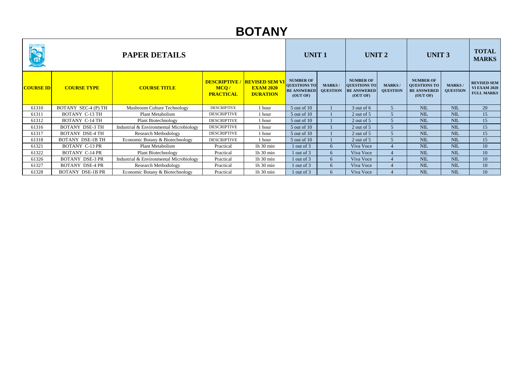| <b>OSTA</b>      | <b>PAPER DETAILS</b>    |                                         |                                                |                                                              |                                                                           | <b>UNIT1</b>                     |                                                                           | <b>UNIT 2</b>                    | <b>UNIT 3</b>                                                             |                                   | <b>TOTAL</b><br><b>MARKS</b>                                   |
|------------------|-------------------------|-----------------------------------------|------------------------------------------------|--------------------------------------------------------------|---------------------------------------------------------------------------|----------------------------------|---------------------------------------------------------------------------|----------------------------------|---------------------------------------------------------------------------|-----------------------------------|----------------------------------------------------------------|
| <b>COURSE ID</b> | <b>COURSE TYPE</b>      | <b>COURSE TITLE</b>                     | <b>DESCRIPTIVE</b><br>MCQ/<br><b>PRACTICAL</b> | <b>REVISED SEM VI</b><br><b>EXAM 2020</b><br><b>DURATION</b> | <b>NUMBER OF</b><br><b>QUESTIONS TO</b><br><b>BE ANSWERED</b><br>(OUT OF) | <b>MARKS/</b><br><b>QUESTION</b> | <b>NUMBER OF</b><br><b>QUESTIONS TO</b><br><b>BE ANSWERED</b><br>(OUT OF) | <b>MARKS/</b><br><b>QUESTION</b> | <b>NUMBER OF</b><br><b>QUESTIONS TO</b><br><b>BE ANSWERED</b><br>(OUT OF) | <b>MARKS</b> /<br><b>QUESTION</b> | <b>REVISED SEM</b><br><b>VI EXAM 2020</b><br><b>FULL MARKS</b> |
| 61310            | BOTANY SEC-4 (P) TH     | Mushroom Culture Technology             | <b>DESCRIPTIVE</b>                             | 1 hour                                                       | 5 out of 10                                                               |                                  | 3 out of 6                                                                |                                  | <b>NIL</b>                                                                | <b>NIL</b>                        | 20                                                             |
| 61311            | <b>BOTANY C-13 TH</b>   | Plant Metabolism                        | <b>DESCRIPTIVE</b>                             | 1 hour                                                       | 5 out of 10                                                               |                                  | 2 out of $5$                                                              |                                  | <b>NIL</b>                                                                | <b>NIL</b>                        | 15                                                             |
| 61312            | <b>BOTANY C-14 TH</b>   | <b>Plant Biotechnology</b>              | <b>DESCRIPTIVE</b>                             | 1 hour                                                       | $5$ out of $10$                                                           |                                  | 2 out of $5$                                                              |                                  | <b>NIL</b>                                                                | <b>NIL</b>                        | 15                                                             |
| 61316            | <b>BOTANY DSE-3 TH</b>  | Industrial & Environmental Microbiology | <b>DESCRIPTIVE</b>                             | 1 hour                                                       | 5 out of 10                                                               |                                  | 2 out of 5                                                                |                                  | <b>NIL</b>                                                                | <b>NIL</b>                        | 15                                                             |
| 61317            | <b>BOTANY DSE-4 TH</b>  | <b>Research Methodology</b>             | <b>DESCRIPTIVE</b>                             | 1 hour                                                       | 5 out of 10                                                               |                                  | 2 out of $5$                                                              |                                  | <b>NIL</b>                                                                | <b>NIL</b>                        | 15                                                             |
| 61318            | <b>BOTANY DSE-1B TH</b> | Economic Botany & Biotechnology         | <b>DESCRIPTIVE</b>                             | 1 hour                                                       | 5 out of 10                                                               |                                  | 2 out of $5$                                                              |                                  | <b>NIL</b>                                                                | <b>NIL</b>                        | 15                                                             |
| 61321            | <b>BOTANY C-13 PR</b>   | Plant Metabolism                        | Practical                                      | 1h 30 min                                                    | 1 out of 3                                                                | 6                                | Viva Voce                                                                 |                                  | <b>NIL</b>                                                                | <b>NIL</b>                        | 10                                                             |
| 61322            | <b>BOTANY C-14 PR</b>   | <b>Plant Biotechnology</b>              | Practical                                      | 1h 30 min                                                    | 1 out of 3                                                                | 6                                | Viva Voce                                                                 |                                  | <b>NIL</b>                                                                | <b>NIL</b>                        | 10                                                             |
| 61326            | <b>BOTANY DSE-3 PR</b>  | Industrial & Environmental Microbiology | Practical                                      | 1h 30 min                                                    | 1 out of 3                                                                | 6                                | Viva Voce                                                                 |                                  | <b>NIL</b>                                                                | <b>NIL</b>                        | 10                                                             |
| 61327            | <b>BOTANY DSE-4 PR</b>  | <b>Research Methodology</b>             | Practical                                      | 1h 30 min                                                    | 1 out of 3                                                                | 6                                | Viva Voce                                                                 |                                  | <b>NIL</b>                                                                | <b>NIL</b>                        | 10                                                             |
| 61328            | <b>BOTANY DSE-1B PR</b> | Economic Botany & Biotechnology         | Practical                                      | 1h 30 min                                                    | 1 out of 3                                                                | 6                                | Viva Voce                                                                 |                                  | <b>NIL</b>                                                                | <b>NIL</b>                        | 10                                                             |

## **BOTANY**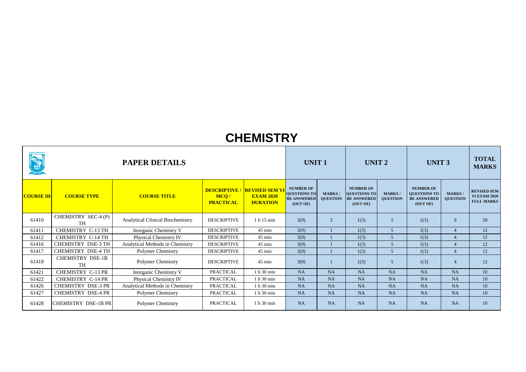| <b>ONES</b>      |                                      | <b>PAPER DETAILS</b>                    |                          |                                                                            |                                                                           | <b>UNIT1</b>                     |                                                                    | <b>UNIT 2</b>                   |                                                                           | <b>UNIT 3</b>                     |                                                                |
|------------------|--------------------------------------|-----------------------------------------|--------------------------|----------------------------------------------------------------------------|---------------------------------------------------------------------------|----------------------------------|--------------------------------------------------------------------|---------------------------------|---------------------------------------------------------------------------|-----------------------------------|----------------------------------------------------------------|
| <b>COURSE ID</b> | <b>COURSE TYPE</b>                   | <b>COURSE TITLE</b>                     | MCQ/<br><b>PRACTICAL</b> | <b>DESCRIPTIVE / REVISED SEM VI</b><br><b>EXAM 2020</b><br><b>DURATION</b> | <b>NUMBER OF</b><br><b>QUESTIONS TO</b><br><b>BE ANSWERED</b><br>(OUT OF) | <b>MARKS/</b><br><b>QUESTION</b> | <b>NUMBER OF</b><br>QUESTIONS TO<br><b>BE ANSWERED</b><br>(OUT OF) | <b>MARKS</b><br><b>QUESTION</b> | <b>NUMBER OF</b><br><b>QUESTIONS TO</b><br><b>BE ANSWERED</b><br>(OUT OF) | <b>MARKS</b> /<br><b>QUESTION</b> | <b>REVISED SEM</b><br><b>VI EXAM 2020</b><br><b>FULL MARKS</b> |
| 61410            | CHEMISTRY SEC-4 (P)<br><b>TH</b>     | <b>Analytical Clinical Biochemistry</b> | <b>DESCRIPTIVE</b>       | 1 h 15 min                                                                 | 3(9)                                                                      | 2                                | 1(3)                                                               | $\overline{5}$                  | 1(3)                                                                      | 9                                 | 20                                                             |
| 61411            | CHEMISTRY C-13 TH                    | Inorganic Chemistry V                   | <b>DESCRIPTIVE</b>       | $45$ min                                                                   | 3(9)                                                                      |                                  | 1(3)                                                               | 5 <sup>5</sup>                  | 1(3)                                                                      | $\overline{4}$                    | 12                                                             |
| 61412            | <b>CHEMISTRY C-14 TH</b>             | <b>Physical Chemistry IV</b>            | <b>DESCRIPTIVE</b>       | $45 \text{ min}$                                                           | 3(9)                                                                      |                                  | 1(3)                                                               | $\overline{5}$                  | 1(3)                                                                      | $\overline{4}$                    | 12                                                             |
| 61416            | <b>CHEMISTRY DSE-3 TH</b>            | Analytical Methods in Chemistry         | <b>DESCRIPTIVE</b>       | $45 \text{ min}$                                                           | 3(9)                                                                      |                                  | 1(3)                                                               |                                 | 1(3)                                                                      | $\overline{4}$                    | 12                                                             |
| 61417            | <b>CHEMISTRY DSE-4 TH</b>            | Polymer Chemistry                       | <b>DESCRIPTIVE</b>       | 45 min                                                                     | 3(9)                                                                      |                                  | 1(3)                                                               | 5 <sup>5</sup>                  | 1(3)                                                                      | $\overline{4}$                    | 12                                                             |
| 61418            | <b>CHEMISTRY DSE-1B</b><br><b>TH</b> | Polymer Chemistry                       | <b>DESCRIPTIVE</b>       | 45 min                                                                     | 3(9)                                                                      |                                  | 1(3)                                                               | $\overline{5}$                  | 1(3)                                                                      | $\overline{4}$                    | 12                                                             |
| 61421            | CHEMISTRY C-13 PR                    | <b>Inorganic Chemistry V</b>            | <b>PRACTICAL</b>         | 1 h 30 min                                                                 | <b>NA</b>                                                                 | <b>NA</b>                        | <b>NA</b>                                                          | <b>NA</b>                       | <b>NA</b>                                                                 | <b>NA</b>                         | 10                                                             |
| 61422            | <b>CHEMISTRY C-14 PR</b>             | <b>Physical Chemistry IV</b>            | <b>PRACTICAL</b>         | 1 h 30 min                                                                 | <b>NA</b>                                                                 | <b>NA</b>                        | <b>NA</b>                                                          | <b>NA</b>                       | <b>NA</b>                                                                 | <b>NA</b>                         | 10                                                             |
| 61426            | <b>CHEMISTRY DSE-3 PR</b>            | Analytical Methods in Chemistry         | <b>PRACTICAL</b>         | 1 h 30 min                                                                 | <b>NA</b>                                                                 | <b>NA</b>                        | <b>NA</b>                                                          | <b>NA</b>                       | <b>NA</b>                                                                 | <b>NA</b>                         | 10                                                             |
| 61427            | <b>CHEMISTRY DSE-4 PR</b>            | <b>Polymer Chemistry</b>                | <b>PRACTICAL</b>         | 1 h 30 min                                                                 | <b>NA</b>                                                                 | <b>NA</b>                        | <b>NA</b>                                                          | <b>NA</b>                       | <b>NA</b>                                                                 | <b>NA</b>                         | 10                                                             |
| 61428            | <b>CHEMISTRY DSE-1B PR</b>           | Polymer Chemistry                       | <b>PRACTICAL</b>         | 1 h 30 min                                                                 | <b>NA</b>                                                                 | <b>NA</b>                        | <b>NA</b>                                                          | <b>NA</b>                       | <b>NA</b>                                                                 | <b>NA</b>                         | 10                                                             |

#### **CHEMISTRY**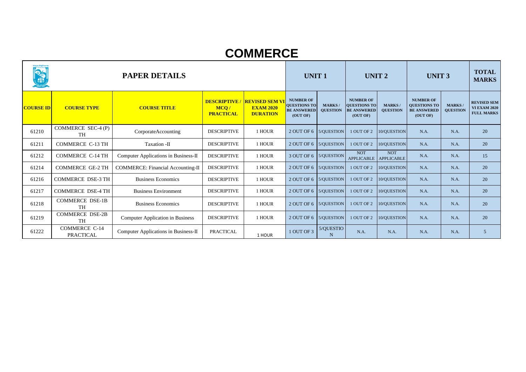| มีนานูเป็นที่เป็นที่เป็นที่<br>REAL PROPERTY |                                          | <b>PAPER DETAILS</b>                        |                                                |                                                              | <b>UNIT1</b>                                                              |                                  | UNIT <sub>2</sub>                                                         |                                  | <b>UNIT 3</b>                                                             |                                 | <b>TOTAL</b><br><b>MARKS</b>                                   |
|----------------------------------------------|------------------------------------------|---------------------------------------------|------------------------------------------------|--------------------------------------------------------------|---------------------------------------------------------------------------|----------------------------------|---------------------------------------------------------------------------|----------------------------------|---------------------------------------------------------------------------|---------------------------------|----------------------------------------------------------------|
| <b>COURSE ID</b>                             | <b>COURSE TYPE</b>                       | <b>COURSE TITLE</b>                         | <b>DESCRIPTIVE</b><br>MCQ/<br><b>PRACTICAL</b> | <b>REVISED SEM VI</b><br><b>EXAM 2020</b><br><b>DURATION</b> | <b>NUMBER OF</b><br><b>QUESTIONS TO</b><br><b>BE ANSWERED</b><br>(OUT OF) | <b>MARKS/</b><br><b>QUESTION</b> | <b>NUMBER OF</b><br><b>QUESTIONS TO</b><br><b>BE ANSWERED</b><br>(OUT OF) | <b>MARKS/</b><br><b>QUESTION</b> | <b>NUMBER OF</b><br><b>QUESTIONS TO</b><br><b>BE ANSWERED</b><br>(OUT OF) | <b>MARKS</b><br><b>QUESTION</b> | <b>REVISED SEM</b><br><b>VI EXAM 2020</b><br><b>FULL MARKS</b> |
| 61210                                        | COMMERCE SEC-4 $(P)$<br><b>TH</b>        | CorporateAccounting                         | <b>DESCRIPTIVE</b>                             | 1 HOUR                                                       | 2 OUT OF 6 $\vert$ 5/QUESTION                                             |                                  | 1 OUT OF 2                                                                | 10/QUESTION                      | N.A.                                                                      | N.A.                            | 20                                                             |
| 61211                                        | <b>COMMERCE C-13 TH</b>                  | Taxation -II                                | <b>DESCRIPTIVE</b>                             | 1 HOUR                                                       | 2 OUT OF 6 $\vert$ 5/QUESTION                                             |                                  | 1 OUT OF 2                                                                | 10/QUESTION                      | N.A.                                                                      | N.A.                            | 20                                                             |
| 61212                                        | <b>COMMERCE C-14 TH</b>                  | <b>Computer Applications in Business-II</b> | <b>DESCRIPTIVE</b>                             | 1 HOUR                                                       | 3 OUT OF 6   5/QUESTION                                                   |                                  | <b>NOT</b><br>APPLICABLE APPLICABLE                                       | <b>NOT</b>                       | N.A.                                                                      | N.A.                            | 15                                                             |
| 61214                                        | <b>COMMERCE GE-2 TH</b>                  | <b>COMMERCE: Financial Accounting-II</b>    | <b>DESCRIPTIVE</b>                             | 1 HOUR                                                       | 2 OUT OF 6   5/QUESTION                                                   |                                  | 1 OUT OF 2                                                                | 10/QUESTION                      | N.A.                                                                      | N.A.                            | 20                                                             |
| 61216                                        | <b>COMMERCE DSE-3 TH</b>                 | <b>Business Economics</b>                   | <b>DESCRIPTIVE</b>                             | 1 HOUR                                                       |                                                                           | 2 OUT OF 6 5/QUESTION            | 1 OUT OF 2                                                                | 10/QUESTION                      | N.A.                                                                      | N.A.                            | 20                                                             |
| 61217                                        | <b>COMMERCE DSE-4 TH</b>                 | <b>Business Environment</b>                 | <b>DESCRIPTIVE</b>                             | 1 HOUR                                                       | 2 OUT OF 6   5/QUESTION                                                   |                                  | 1 OUT OF 2                                                                | 10/QUESTION                      | N.A.                                                                      | N.A.                            | 20                                                             |
| 61218                                        | <b>COMMERCE DSE-1B</b><br><b>TH</b>      | <b>Business Economics</b>                   | <b>DESCRIPTIVE</b>                             | 1 HOUR                                                       | 2 OUT OF 6 5/QUESTION                                                     |                                  | 1 OUT OF 2                                                                | 10/QUESTION                      | N.A.                                                                      | N.A.                            | 20                                                             |
| 61219                                        | <b>COMMERCE DSE-2B</b><br><b>TH</b>      | <b>Computer Application in Business</b>     | <b>DESCRIPTIVE</b>                             | 1 HOUR                                                       | 2 OUT OF 6 $\vert$ 5/QUESTION                                             |                                  | 1 OUT OF 2                                                                | 10/QUESTION                      | N.A.                                                                      | N.A.                            | 20                                                             |
| 61222                                        | <b>COMMERCE C-14</b><br><b>PRACTICAL</b> | <b>Computer Applications in Business-II</b> | <b>PRACTICAL</b>                               | 1 HOUR                                                       | 1 OUT OF 3                                                                | 5/QUESTIO<br>N                   | N.A.                                                                      | N.A.                             | N.A.                                                                      | N.A.                            | 5 <sup>5</sup>                                                 |

#### **COMMERCE**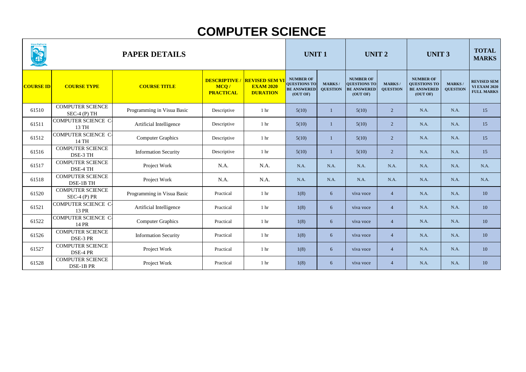| <b>The Contract of Second Second Second Second Second Second Second Second Second Second Second Second Second Second Second Second Second Second Second Second Second Second Second Second Second Second Second Second Second Se</b> | <b>PAPER DETAILS</b>                     |                             |                                                |                                                              | <b>UNIT1</b>                                                              |                                  | <b>UNIT 2</b>                                                      |                                  | <b>UNIT 3</b>                                                             | <b>TOTAL</b><br><b>MARKS</b>    |                                                                |
|--------------------------------------------------------------------------------------------------------------------------------------------------------------------------------------------------------------------------------------|------------------------------------------|-----------------------------|------------------------------------------------|--------------------------------------------------------------|---------------------------------------------------------------------------|----------------------------------|--------------------------------------------------------------------|----------------------------------|---------------------------------------------------------------------------|---------------------------------|----------------------------------------------------------------|
| <b>COURSE ID</b>                                                                                                                                                                                                                     | <b>COURSE TYPE</b>                       | <b>COURSE TITLE</b>         | <b>DESCRIPTIVE</b><br>MCQ/<br><b>PRACTICAL</b> | <b>REVISED SEM VI</b><br><b>EXAM 2020</b><br><b>DURATION</b> | <b>NUMBER OF</b><br><b>QUESTIONS TO</b><br><b>BE ANSWERED</b><br>(OUT OF) | <b>MARKS/</b><br><b>QUESTION</b> | <b>NUMBER OF</b><br>QUESTIONS TO<br><b>BE ANSWERED</b><br>(OUT OF) | <b>MARKS/</b><br><b>QUESTION</b> | <b>NUMBER OF</b><br><b>QUESTIONS TO</b><br><b>BE ANSWERED</b><br>(OUT OF) | <b>MARKS</b><br><b>QUESTION</b> | <b>REVISED SEM</b><br><b>VI EXAM 2020</b><br><b>FULL MARKS</b> |
| 61510                                                                                                                                                                                                                                | <b>COMPUTER SCIENCE</b><br>$SEC-4(P) TH$ | Programming in Visua Basic  | Descriptive                                    | 1 <sub>hr</sub>                                              | 5(10)                                                                     |                                  | 5(10)                                                              | $2^{\circ}$                      | N.A.                                                                      | N.A.                            | 15                                                             |
| 61511                                                                                                                                                                                                                                | <b>COMPUTER SCIENCE C-</b><br>13 TH      | Artificial Intelligence     | Descriptive                                    | 1 <sub>hr</sub>                                              | 5(10)                                                                     |                                  | 5(10)                                                              | $\overline{2}$                   | N.A.                                                                      | N.A.                            | 15                                                             |
| 61512                                                                                                                                                                                                                                | COMPUTER SCIENCE C-<br>14 TH             | <b>Computer Graphics</b>    | Descriptive                                    | 1 <sub>hr</sub>                                              | 5(10)                                                                     |                                  | 5(10)                                                              | $2^{\circ}$                      | N.A.                                                                      | N.A.                            | 15                                                             |
| 61516                                                                                                                                                                                                                                | <b>COMPUTER SCIENCE</b><br>DSE-3 TH      | <b>Information Security</b> | Descriptive                                    | 1 <sub>hr</sub>                                              | 5(10)                                                                     |                                  | 5(10)                                                              | $\overline{2}$                   | N.A.                                                                      | N.A.                            | 15                                                             |
| 61517                                                                                                                                                                                                                                | <b>COMPUTER SCIENCE</b><br>DSE-4 TH      | Project Work                | N.A.                                           | N.A.                                                         | N.A.                                                                      | N.A.                             | N.A.                                                               | N.A.                             | N.A.                                                                      | N.A.                            | N.A.                                                           |
| 61518                                                                                                                                                                                                                                | <b>COMPUTER SCIENCE</b><br>DSE-1B TH     | Project Work                | N.A.                                           | N.A.                                                         | N.A.                                                                      | N.A.                             | N.A.                                                               | N.A.                             | N.A.                                                                      | N.A.                            | N.A.                                                           |
| 61520                                                                                                                                                                                                                                | <b>COMPUTER SCIENCE</b><br>$SEC-4(P) PR$ | Programming in Visua Basic  | Practical                                      | 1 <sub>hr</sub>                                              | 1(8)                                                                      | 6                                | viva voce                                                          | $\overline{4}$                   | N.A.                                                                      | N.A.                            | 10                                                             |
| 61521                                                                                                                                                                                                                                | <b>COMPUTER SCIENCE C</b><br>13 PR       | Artificial Intelligence     | Practical                                      | 1 <sup>hr</sup>                                              | 1(8)                                                                      | 6                                | viva voce                                                          | $\overline{4}$                   | N.A.                                                                      | N.A.                            | 10                                                             |
| 61522                                                                                                                                                                                                                                | COMPUTER SCIENCE C-<br>14 PR             | <b>Computer Graphics</b>    | Practical                                      | 1 <sup>hr</sup>                                              | 1(8)                                                                      | 6                                | viva voce                                                          | $\overline{4}$                   | N.A.                                                                      | N.A.                            | 10                                                             |
| 61526                                                                                                                                                                                                                                | <b>COMPUTER SCIENCE</b><br>DSE-3 PR      | <b>Information Security</b> | Practical                                      | 1 <sub>hr</sub>                                              | 1(8)                                                                      | 6                                | viva voce                                                          | $\overline{4}$                   | N.A.                                                                      | N.A.                            | 10                                                             |
| 61527                                                                                                                                                                                                                                | <b>COMPUTER SCIENCE</b><br>DSE-4 PR      | Project Work                | Practical                                      | 1 <sub>hr</sub>                                              | 1(8)                                                                      | 6 <sup>1</sup>                   | viva voce                                                          | $\overline{4}$                   | N.A.                                                                      | N.A.                            | 10                                                             |
| 61528                                                                                                                                                                                                                                | <b>COMPUTER SCIENCE</b><br>DSE-1B PR     | Project Work                | Practical                                      | 1 <sub>hr</sub>                                              | 1(8)                                                                      | 6 <sup>1</sup>                   | viva voce                                                          | $\overline{4}$                   | N.A.                                                                      | N.A.                            | 10                                                             |

## **COMPUTER SCIENCE**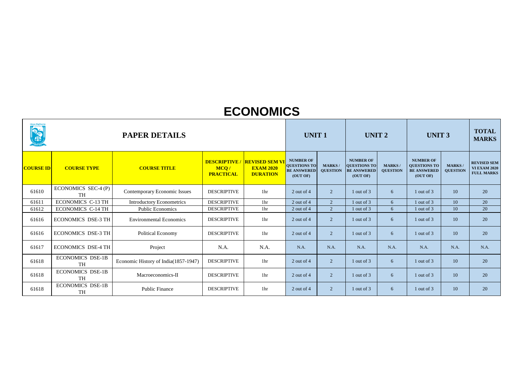| વૉવ્યુણ વિશ્રુવિમાલ<br>READERS |                                      | <b>PAPER DETAILS</b>                 |                          |                                                                            | <b>UNIT 1</b>                                                             |                                  | UNIT <sub>2</sub>                                                  |                                  | <b>UNIT 3</b>                                                             | <b>TOTAL</b><br><b>MARKS</b>    |                                                                |
|--------------------------------|--------------------------------------|--------------------------------------|--------------------------|----------------------------------------------------------------------------|---------------------------------------------------------------------------|----------------------------------|--------------------------------------------------------------------|----------------------------------|---------------------------------------------------------------------------|---------------------------------|----------------------------------------------------------------|
| <b>COURSE ID</b>               | <b>COURSE TYPE</b>                   | <b>COURSE TITLE</b>                  | MCQ/<br><b>PRACTICAL</b> | <b>DESCRIPTIVE / REVISED SEM VI</b><br><b>EXAM 2020</b><br><b>DURATION</b> | <b>NUMBER OF</b><br><b>QUESTIONS TO</b><br><b>BE ANSWERED</b><br>(OUT OF) | <b>MARKS/</b><br><b>QUESTION</b> | <b>NUMBER OF</b><br>QUESTIONS TO<br><b>BE ANSWERED</b><br>(OUT OF) | <b>MARKS/</b><br><b>QUESTION</b> | <b>NUMBER OF</b><br><b>QUESTIONS TO</b><br><b>BE ANSWERED</b><br>(OUT OF) | <b>MARKS</b><br><b>QUESTION</b> | <b>REVISED SEM</b><br><b>VI EXAM 2020</b><br><b>FULL MARKS</b> |
| 61610                          | ECONOMICS SEC-4 $(P)$<br><b>TH</b>   | <b>Contemporary Economic Issues</b>  | <b>DESCRIPTIVE</b>       | 1 <sub>hr</sub>                                                            | 2 out of 4                                                                | $\overline{2}$                   | 1 out of 3                                                         | 6                                | 1 out of 3                                                                | 10                              | 20                                                             |
| 61611                          | <b>ECONOMICS C-13 TH</b>             | <b>Introductory Econometrics</b>     | <b>DESCRIPTIVE</b>       | 1 <sub>hr</sub>                                                            | 2 out of 4                                                                | $\overline{2}$                   | 1 out of 3                                                         | 6 <sup>1</sup>                   | 1 out of 3                                                                | 10                              | 20                                                             |
| 61612                          | <b>ECONOMICS C-14 TH</b>             | <b>Public Economics</b>              | <b>DESCRIPTIVE</b>       | 1 <sup>hr</sup>                                                            | 2 out of 4                                                                | $\overline{2}$                   | 1 out of 3                                                         | 6 <sup>1</sup>                   | 1 out of 3                                                                | 10                              | 20                                                             |
| 61616                          | <b>ECONOMICS DSE-3 TH</b>            | <b>Environmental Economics</b>       | <b>DESCRIPTIVE</b>       | 1 <sub>hr</sub>                                                            | 2 out of 4                                                                | $\overline{2}$                   | 1 out of 3                                                         | 6                                | 1 out of 3                                                                | 10                              | 20                                                             |
| 61616                          | <b>ECONOMICS DSE-3 TH</b>            | <b>Political Economy</b>             | <b>DESCRIPTIVE</b>       | 1 <sup>hr</sup>                                                            | 2 out of 4                                                                | $\overline{2}$                   | 1 out of 3                                                         | 6                                | 1 out of 3                                                                | 10                              | 20                                                             |
| 61617                          | <b>ECONOMICS DSE-4 TH</b>            | Project                              | N.A.                     | N.A.                                                                       | N.A.                                                                      | N.A.                             | N.A.                                                               | N.A.                             | N.A.                                                                      | N.A.                            | N.A.                                                           |
| 61618                          | <b>ECONOMICS DSE-1B</b><br><b>TH</b> | Economic History of India(1857-1947) | <b>DESCRIPTIVE</b>       | 1 <sub>hr</sub>                                                            | $2$ out of 4                                                              | $\overline{2}$                   | 1 out of 3                                                         | 6                                | 1 out of 3                                                                | 10                              | 20                                                             |
| 61618                          | <b>ECONOMICS DSE-1B</b><br><b>TH</b> | Macroeconomics-II                    | <b>DESCRIPTIVE</b>       | 1 <sub>hr</sub>                                                            | 2 out of 4                                                                | $\overline{2}$                   | 1 out of 3                                                         | 6                                | 1 out of 3                                                                | 10                              | 20                                                             |
| 61618                          | <b>ECONOMICS DSE-1B</b><br><b>TH</b> | <b>Public Finance</b>                | <b>DESCRIPTIVE</b>       | 1 <sub>hr</sub>                                                            | 2 out of 4                                                                | $\overline{2}$                   | $1$ out of $3$                                                     | 6                                | 1 out of 3                                                                | 10                              | 20                                                             |

#### **ECONOMICS**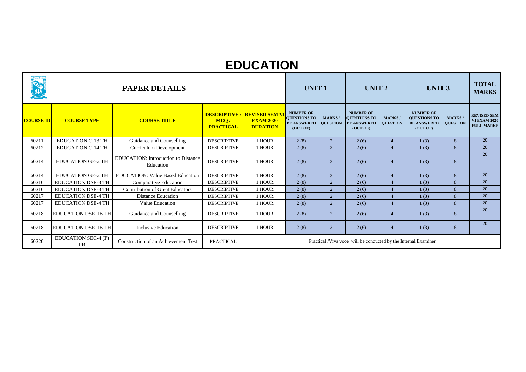|                  |                            | <b>PAPER DETAILS</b>                                    |                          |                                                                            | <b>UNIT1</b>                                                              |                                  | UNIT <sub>2</sub>                                                  |                                  | <b>UNIT 3</b>                                                             |                                 | <b>TOTAL</b><br><b>MARKS</b>                                   |
|------------------|----------------------------|---------------------------------------------------------|--------------------------|----------------------------------------------------------------------------|---------------------------------------------------------------------------|----------------------------------|--------------------------------------------------------------------|----------------------------------|---------------------------------------------------------------------------|---------------------------------|----------------------------------------------------------------|
| <b>COURSE ID</b> | <b>COURSE TYPE</b>         | <b>COURSE TITLE</b>                                     | MCQ/<br><b>PRACTICAL</b> | <b>DESCRIPTIVE / REVISED SEM VI</b><br><b>EXAM 2020</b><br><b>DURATION</b> | <b>NUMBER OF</b><br><b>QUESTIONS TO</b><br><b>BE ANSWERED</b><br>(OUT OF) | <b>MARKS/</b><br><b>QUESTION</b> | <b>NUMBER OF</b><br>QUESTIONS TO<br><b>BE ANSWERED</b><br>(OUT OF) | <b>MARKS/</b><br><b>QUESTION</b> | <b>NUMBER OF</b><br><b>QUESTIONS TO</b><br><b>BE ANSWERED</b><br>(OUT OF) | <b>MARKS</b><br><b>QUESTION</b> | <b>REVISED SEM</b><br><b>VI EXAM 2020</b><br><b>FULL MARKS</b> |
| 60211            | <b>EDUCATION C-13 TH</b>   | Guidance and Counselling                                | <b>DESCRIPTIVE</b>       | 1 HOUR                                                                     | 2(8)                                                                      | 2                                | 2(6)                                                               | $\overline{4}$                   | 1(3)                                                                      | 8                               | 20                                                             |
| 60212            | <b>EDUCATION C-14 TH</b>   | <b>Curriculum Development</b>                           | <b>DESCRIPTIVE</b>       | 1 HOUR                                                                     | 2(8)                                                                      | 2                                | 2(6)                                                               | $\overline{4}$                   | 1(3)                                                                      | 8                               | 20                                                             |
| 60214            | <b>EDUCATION GE-2 TH</b>   | <b>EDUCATION:</b> Introduction to Distance<br>Education | <b>DESCRIPTIVE</b>       | 1 HOUR                                                                     | 2(8)                                                                      | $\overline{2}$                   | 2(6)                                                               | $\overline{4}$                   | 1(3)                                                                      | 8                               | 20                                                             |
| 60214            | <b>EDUCATION GE-2 TH</b>   | <b>EDUCATION: Value Based Education</b>                 | <b>DESCRIPTIVE</b>       | 1 HOUR                                                                     | 2(8)                                                                      | 2                                | 2(6)                                                               | $\overline{4}$                   | 1(3)                                                                      | 8                               | 20                                                             |
| 60216            | <b>EDUCATION DSE-3 TH</b>  | <b>Comparative Education</b>                            | <b>DESCRIPTIVE</b>       | 1 HOUR                                                                     | 2(8)                                                                      | 2                                | 2(6)                                                               | $\overline{4}$                   | 1(3)                                                                      | 8                               | 20                                                             |
| 60216            | <b>EDUCATION DSE-3 TH</b>  | <b>Contribution of Great Educators</b>                  | <b>DESCRIPTIVE</b>       | 1 HOUR                                                                     | 2(8)                                                                      | 2                                | 2(6)                                                               | $\overline{4}$                   | 1(3)                                                                      | 8                               | 20                                                             |
| 60217            | <b>EDUCATION DSE-4 TH</b>  | <b>Distance Education</b>                               | <b>DESCRIPTIVE</b>       | 1 HOUR                                                                     | 2(8)                                                                      | $\overline{2}$                   | 2(6)                                                               | $\overline{4}$                   | 1(3)                                                                      | 8                               | 20                                                             |
| 60217            | <b>EDUCATION DSE-4 TH</b>  | Value Education                                         | <b>DESCRIPTIVE</b>       | 1 HOUR                                                                     | 2(8)                                                                      | 2                                | 2(6)                                                               | $\overline{4}$                   | 1(3)                                                                      | 8                               | 20                                                             |
| 60218            | <b>EDUCATION DSE-1B TH</b> | Guidance and Counselling                                | <b>DESCRIPTIVE</b>       | 1 HOUR                                                                     | 2(8)                                                                      | 2                                | 2(6)                                                               | $\overline{4}$                   | 1(3)                                                                      | 8                               | 20                                                             |
| 60218            | <b>EDUCATION DSE-1B TH</b> | <b>Inclusive Education</b>                              | <b>DESCRIPTIVE</b>       | 1 HOUR                                                                     | 2(8)                                                                      | $\overline{2}$                   | 2(6)                                                               | $\overline{4}$                   | 1(3)                                                                      | 8                               | 20                                                             |
| 60220            | EDUCATION SEC-4 (P)<br>PR  | <b>Construction of an Achievement Test</b>              | <b>PRACTICAL</b>         | Practical /Viva voce will be conducted by the Internal Examiner            |                                                                           |                                  |                                                                    |                                  |                                                                           |                                 |                                                                |

## **EDUCATION**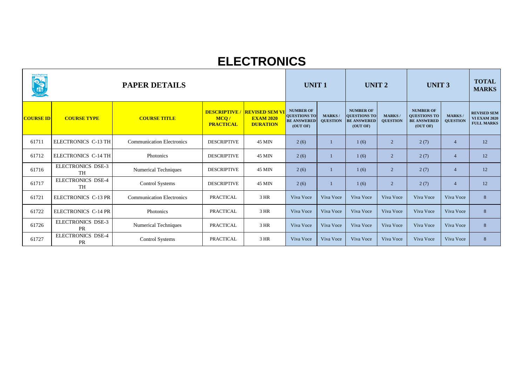| ขี้นิ <u>ง</u> นิเ <mark>ตั้งสู</mark> ติหกร<br>REA |                                       | <b>PAPER DETAILS</b>             |                                                |                                                              | <b>UNIT 1</b>                                                             |                                  | <b>UNIT 2</b>                                                      |                                 | <b>UNIT 3</b>                                                             |                                  | <b>TOTAL</b><br><b>MARKS</b>                                   |
|-----------------------------------------------------|---------------------------------------|----------------------------------|------------------------------------------------|--------------------------------------------------------------|---------------------------------------------------------------------------|----------------------------------|--------------------------------------------------------------------|---------------------------------|---------------------------------------------------------------------------|----------------------------------|----------------------------------------------------------------|
| <b>COURSE ID</b>                                    | <b>COURSE TYPE</b>                    | <b>COURSE TITLE</b>              | <b>DESCRIPTIVE</b><br>MCQ/<br><b>PRACTICAL</b> | <b>REVISED SEM VI</b><br><b>EXAM 2020</b><br><b>DURATION</b> | <b>NUMBER OF</b><br><b>QUESTIONS TO</b><br><b>BE ANSWERED</b><br>(OUT OF) | <b>MARKS/</b><br><b>QUESTION</b> | <b>NUMBER OF</b><br>QUESTIONS TO<br><b>BE ANSWERED</b><br>(OUT OF) | <b>MARKS</b><br><b>QUESTION</b> | <b>NUMBER OF</b><br><b>QUESTIONS TO</b><br><b>BE ANSWERED</b><br>(OUT OF) | <b>MARKS/</b><br><b>QUESTION</b> | <b>REVISED SEM</b><br><b>VI EXAM 2020</b><br><b>FULL MARKS</b> |
| 61711                                               | ELECTRONICS C-13 TH                   | <b>Communication Electronics</b> | <b>DESCRIPTIVE</b>                             | <b>45 MIN</b>                                                | 2(6)                                                                      |                                  | 1(6)                                                               | 2                               | 2(7)                                                                      | $\overline{4}$                   | 12                                                             |
| 61712                                               | <b>ELECTRONICS C-14 TH</b>            | Photonics                        | <b>DESCRIPTIVE</b>                             | <b>45 MIN</b>                                                | 2(6)                                                                      |                                  | 1(6)                                                               | $\overline{2}$                  | 2(7)                                                                      | $\overline{4}$                   | 12                                                             |
| 61716                                               | <b>ELECTRONICS DSE-3</b><br><b>TH</b> | <b>Numerical Techniques</b>      | <b>DESCRIPTIVE</b>                             | <b>45 MIN</b>                                                | 2(6)                                                                      |                                  | 1(6)                                                               | $\overline{2}$                  | 2(7)                                                                      | $\overline{4}$                   | 12                                                             |
| 61717                                               | <b>ELECTRONICS DSE-4</b><br><b>TH</b> | <b>Control Systems</b>           | <b>DESCRIPTIVE</b>                             | <b>45 MIN</b>                                                | 2(6)                                                                      |                                  | 1(6)                                                               | 2                               | 2(7)                                                                      | $\overline{4}$                   | 12                                                             |
| 61721                                               | ELECTRONICS C-13 PR                   | <b>Communication Electronics</b> | <b>PRACTICAL</b>                               | 3 HR                                                         | Viva Voce                                                                 | Viva Voce                        | Viva Voce                                                          | Viva Voce                       | Viva Voce                                                                 | Viva Voce                        | 8                                                              |
| 61722                                               | ELECTRONICS C-14 PR                   | Photonics                        | <b>PRACTICAL</b>                               | 3 HR                                                         | Viva Voce                                                                 | Viva Voce                        | Viva Voce                                                          | Viva Voce                       | Viva Voce                                                                 | Viva Voce                        | 8                                                              |
| 61726                                               | <b>ELECTRONICS DSE-3</b><br>PR        | <b>Numerical Techniques</b>      | <b>PRACTICAL</b>                               | $3$ HR                                                       | Viva Voce                                                                 | Viva Voce                        | Viva Voce                                                          | Viva Voce                       | Viva Voce                                                                 | Viva Voce                        | 8                                                              |
| 61727                                               | <b>ELECTRONICS DSE-4</b><br><b>PR</b> | <b>Control Systems</b>           | <b>PRACTICAL</b>                               | 3 HR                                                         | Viva Voce                                                                 | Viva Voce                        | Viva Voce                                                          | Viva Voce                       | Viva Voce                                                                 | Viva Voce                        | 8                                                              |

### **ELECTRONICS**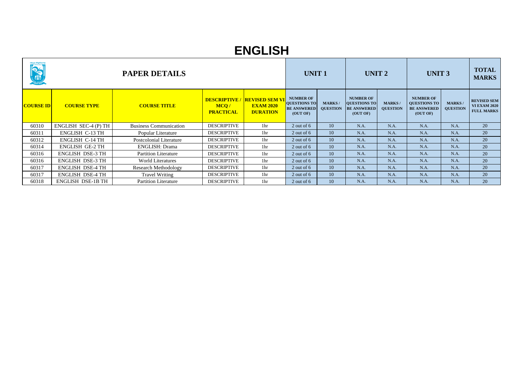| <b>AUDIO (AUDIO)</b><br>Audio ESTD-2014<br><b>CONTRACTOR</b> | <b>PAPER DETAILS</b>     |                                |                          |                                                                            |                                                                           | <b>UNIT1</b>                     |                                                                    | UNIT <sub>2</sub>                |                                                                           | <b>UNIT 3</b>                    |                                                                |
|--------------------------------------------------------------|--------------------------|--------------------------------|--------------------------|----------------------------------------------------------------------------|---------------------------------------------------------------------------|----------------------------------|--------------------------------------------------------------------|----------------------------------|---------------------------------------------------------------------------|----------------------------------|----------------------------------------------------------------|
| <b>COURSE ID</b>                                             | <b>COURSE TYPE</b>       | <b>COURSE TITLE</b>            | MCQ/<br><b>PRACTICAL</b> | <b>DESCRIPTIVE / REVISED SEM VI</b><br><b>EXAM 2020</b><br><b>DURATION</b> | <b>NUMBER OF</b><br><b>QUESTIONS TO</b><br><b>BE ANSWERED</b><br>(OUT OF) | <b>MARKS/</b><br><b>QUESTION</b> | <b>NUMBER OF</b><br>QUESTIONS TO<br><b>BE ANSWERED</b><br>(OUT OF) | <b>MARKS/</b><br><b>QUESTION</b> | <b>NUMBER OF</b><br><b>QUESTIONS TO</b><br><b>BE ANSWERED</b><br>(OUT OF) | <b>MARKS/</b><br><b>QUESTION</b> | <b>REVISED SEM</b><br><b>VI EXAM 2020</b><br><b>FULL MARKS</b> |
| 60310                                                        | ENGLISH SEC-4 (P) TH     | <b>Business Communication</b>  | <b>DESCRIPTIVE</b>       | 1 <sub>hr</sub>                                                            | $2$ out of 6                                                              | 10                               | N.A.                                                               | N.A.                             | N.A.                                                                      | N.A.                             | 20                                                             |
| 60311                                                        | <b>ENGLISH C-13 TH</b>   | Popular Literature             | <b>DESCRIPTIVE</b>       | 1 <sup>hr</sup>                                                            | $2$ out of 6                                                              | 10                               | N.A.                                                               | N.A.                             | N.A.                                                                      | N.A.                             | 20                                                             |
| 60312                                                        | <b>ENGLISH C-14 TH</b>   | <b>Postcolonial Literature</b> | <b>DESCRIPTIVE</b>       | 1 <sub>hr</sub>                                                            | $2$ out of 6                                                              | 10                               | N.A.                                                               | N.A.                             | N.A.                                                                      | N.A.                             | 20                                                             |
| 60314                                                        | <b>ENGLISH GE-2 TH</b>   | <b>ENGLISH: Drama</b>          | <b>DESCRIPTIVE</b>       | 1hr                                                                        | $2$ out of 6                                                              | 10                               | N.A.                                                               | N.A.                             | N.A.                                                                      | N.A.                             | 20                                                             |
| 60316                                                        | <b>ENGLISH DSE-3 TH</b>  | <b>Partition Literature</b>    | <b>DESCRIPTIVE</b>       | 1 <sub>hr</sub>                                                            | $2$ out of 6                                                              | 10                               | N.A.                                                               | N.A.                             | N.A.                                                                      | N.A.                             | 20                                                             |
| 60316                                                        | <b>ENGLISH DSE-3 TH</b>  | <b>World Literatures</b>       | <b>DESCRIPTIVE</b>       | 1 <sup>hr</sup>                                                            | $2$ out of 6                                                              | 10                               | N.A.                                                               | N.A.                             | N.A.                                                                      | N.A.                             | 20                                                             |
| 60317                                                        | <b>ENGLISH DSE-4 TH</b>  | <b>Research Methodology</b>    | <b>DESCRIPTIVE</b>       | 1 <sub>hr</sub>                                                            | $2$ out of 6                                                              | 10                               | N.A.                                                               | N.A.                             | N.A.                                                                      | N.A.                             | 20                                                             |
| 60317                                                        | <b>ENGLISH DSE-4 TH</b>  | <b>Travel Writing</b>          | <b>DESCRIPTIVE</b>       | 1hr                                                                        | 2 out of $6$                                                              | 10                               | N.A.                                                               | N.A.                             | N.A.                                                                      | N.A.                             | 20                                                             |
| 60318                                                        | <b>ENGLISH DSE-1B TH</b> | <b>Partition Literature</b>    | <b>DESCRIPTIVE</b>       | 1hr                                                                        | 2 out of $6$                                                              | 10                               | N.A.                                                               | N.A.                             | N.A.                                                                      | N.A.                             | 20                                                             |

## **ENGLISH**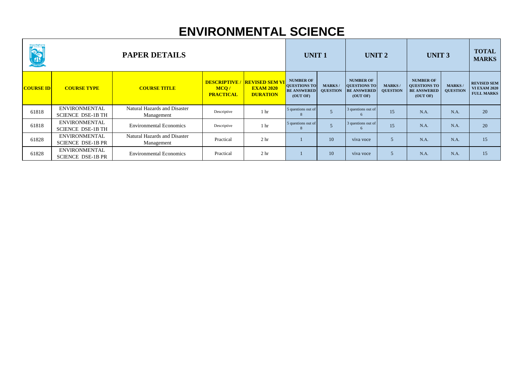| <b>CONTRACTOR</b> | <b>PAPER DETAILS</b>                             |                                                   |                                                |                                                              | <b>UNIT1</b>                                                              |                                  | <b>UNIT 2</b>                                                      |                                  | <b>UNIT 3</b>                                                             |                                  | <b>TOTAL</b><br><b>MARKS</b>                                   |
|-------------------|--------------------------------------------------|---------------------------------------------------|------------------------------------------------|--------------------------------------------------------------|---------------------------------------------------------------------------|----------------------------------|--------------------------------------------------------------------|----------------------------------|---------------------------------------------------------------------------|----------------------------------|----------------------------------------------------------------|
| <b>COURSE ID</b>  | <b>COURSE TYPE</b>                               | <b>COURSE TITLE</b>                               | <b>DESCRIPTIVE</b><br>MCQ/<br><b>PRACTICAL</b> | <b>REVISED SEM VI</b><br><b>EXAM 2020</b><br><b>DURATION</b> | <b>NUMBER OF</b><br><b>QUESTIONS TO</b><br><b>BE ANSWERED</b><br>(OUT OF) | <b>MARKS/</b><br><b>QUESTION</b> | <b>NUMBER OF</b><br>QUESTIONS TO<br><b>BE ANSWERED</b><br>(OUT OF) | <b>MARKS/</b><br><b>QUESTION</b> | <b>NUMBER OF</b><br><b>QUESTIONS TO</b><br><b>BE ANSWERED</b><br>(OUT OF) | <b>MARKS/</b><br><b>QUESTION</b> | <b>REVISED SEM</b><br><b>VI EXAM 2020</b><br><b>FULL MARKS</b> |
| 61818             | <b>ENVIRONMENTAL</b><br><b>SCIENCE DSE-1B TH</b> | Natural Hazards and Disaster<br>Management        | Descriptive                                    | 1 <sup>hr</sup>                                              | 5 questions out of                                                        |                                  | 3 questions out of                                                 | 15                               | N.A.                                                                      | N.A.                             | 20                                                             |
| 61818             | <b>ENVIRONMENTAL</b><br><b>SCIENCE DSE-1B TH</b> | <b>Environmental Economics</b>                    | Descriptive                                    | 1 <sup>hr</sup>                                              | 5 questions out of                                                        |                                  | 3 questions out of<br>$\sigma$                                     | 15                               | N.A.                                                                      | N.A.                             | 20                                                             |
| 61828             | <b>ENVIRONMENTAL</b><br><b>SCIENCE DSE-1B PR</b> | <b>Natural Hazards and Disaster</b><br>Management | Practical                                      | 2 <sub>hr</sub>                                              |                                                                           | 10                               | viva voce                                                          |                                  | N.A.                                                                      | N.A.                             | 15                                                             |
| 61828             | <b>ENVIRONMENTAL</b><br><b>SCIENCE DSE-1B PR</b> | <b>Environmental Economics</b>                    | Practical                                      | 2 <sub>hr</sub>                                              |                                                                           | 10                               | viva voce                                                          | $\overline{5}$                   | N.A.                                                                      | N.A.                             | 15                                                             |

## **ENVIRONMENTAL SCIENCE**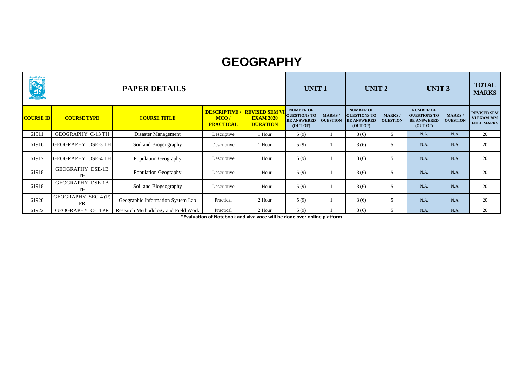| <b>Contract Contract Contract Contract Contract Contract Contract Contract Contract Contract Contract Contract Contract Contract Contract Contract Contract Contract Contract Contract Contract Contract Contract Contract Contr</b> | <b>PAPER DETAILS</b>                 |                                     |                                                 |                                                              |                                                                           | <b>UNIT1</b>                     |                                                                           | <b>UNIT 2</b>                    | <b>UNIT 3</b>                                                             |                                  | <b>TOTAL</b><br><b>MARKS</b>                                   |
|--------------------------------------------------------------------------------------------------------------------------------------------------------------------------------------------------------------------------------------|--------------------------------------|-------------------------------------|-------------------------------------------------|--------------------------------------------------------------|---------------------------------------------------------------------------|----------------------------------|---------------------------------------------------------------------------|----------------------------------|---------------------------------------------------------------------------|----------------------------------|----------------------------------------------------------------|
| <b>COURSE ID</b>                                                                                                                                                                                                                     | <b>COURSE TYPE</b>                   | <b>COURSE TITLE</b>                 | <b>DESCRIPTIVE/</b><br>MCQ/<br><b>PRACTICAL</b> | <b>REVISED SEM VI</b><br><b>EXAM 2020</b><br><b>DURATION</b> | <b>NUMBER OF</b><br><b>QUESTIONS TO</b><br><b>BE ANSWERED</b><br>(OUT OF) | <b>MARKS/</b><br><b>QUESTION</b> | <b>NUMBER OF</b><br><b>QUESTIONS TO</b><br><b>BE ANSWERED</b><br>(OUT OF) | <b>MARKS/</b><br><b>QUESTION</b> | <b>NUMBER OF</b><br><b>QUESTIONS TO</b><br><b>BE ANSWERED</b><br>(OUT OF) | <b>MARKS/</b><br><b>QUESTION</b> | <b>REVISED SEM</b><br><b>VI EXAM 2020</b><br><b>FULL MARKS</b> |
| 61911                                                                                                                                                                                                                                | <b>GEOGRAPHY C-13 TH</b>             | Disaster Management                 | Descriptive                                     | 1 Hour                                                       | 5(9)                                                                      |                                  | 3(6)                                                                      | 5                                | N.A.                                                                      | N.A.                             | 20                                                             |
| 61916                                                                                                                                                                                                                                | <b>GEOGRAPHY DSE-3 TH</b>            | Soil and Biogeography               | Descriptive                                     | 1 Hour                                                       | 5(9)                                                                      |                                  | 3(6)                                                                      |                                  | N.A.                                                                      | N.A.                             | 20                                                             |
| 61917                                                                                                                                                                                                                                | <b>GEOGRAPHY DSE-4 TH</b>            | <b>Population Geography</b>         | Descriptive                                     | 1 Hour                                                       | 5(9)                                                                      |                                  | 3(6)                                                                      | 5                                | N.A.                                                                      | N.A.                             | 20                                                             |
| 61918                                                                                                                                                                                                                                | <b>GEOGRAPHY DSE-1B</b><br><b>TH</b> | <b>Population Geography</b>         | Descriptive                                     | 1 Hour                                                       | 5(9)                                                                      |                                  | 3(6)                                                                      | 5                                | N.A.                                                                      | N.A.                             | 20                                                             |
| 61918                                                                                                                                                                                                                                | <b>GEOGRAPHY DSE-1B</b><br><b>TH</b> | Soil and Biogeography               | Descriptive                                     | 1 Hour                                                       | 5(9)                                                                      |                                  | 3(6)                                                                      | 5                                | N.A.                                                                      | N.A.                             | 20                                                             |
| 61920                                                                                                                                                                                                                                | GEOGRAPHY SEC-4 (P)<br><b>PR</b>     | Geographic Information System Lab   | Practical                                       | 2 Hour                                                       | 5(9)                                                                      |                                  | 3(6)                                                                      | 5                                | N.A.                                                                      | N.A.                             | 20                                                             |
| 61922                                                                                                                                                                                                                                | <b>GEOGRAPHY C-14 PR</b>             | Research Methodology and Field Work | Practical                                       | 2 Hour                                                       | 5(9)                                                                      |                                  | 3(6)                                                                      |                                  | N.A.                                                                      | N.A.                             | 20                                                             |

#### **GEOGRAPHY**

**\*Evaluation of Notebook and viva voce will be done over online platform**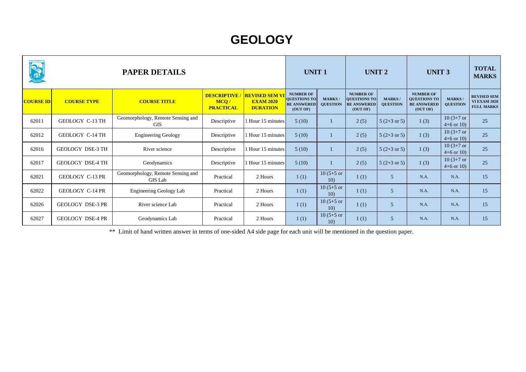| นีเต <sub>็</sub> นๆเ <mark>ต็คู</mark> ติ้นแคน<br><b>OCTA</b> | <b>PAPER DETAILS</b>    |                                                     |                                                |                                                             | <b>UNIT1</b><br><b>NUMBER OF</b>                      |                                  | UNIT <sub>2</sub>                                                         |                                  | <b>UNIT 3</b>                                                             |                                 | <b>TOTAL</b><br><b>MARKS</b>                                   |
|----------------------------------------------------------------|-------------------------|-----------------------------------------------------|------------------------------------------------|-------------------------------------------------------------|-------------------------------------------------------|----------------------------------|---------------------------------------------------------------------------|----------------------------------|---------------------------------------------------------------------------|---------------------------------|----------------------------------------------------------------|
| <b>COURSE ID</b>                                               | <b>COURSE TYPE</b>      | <b>COURSE TITLE</b>                                 | <b>DESCRIPTIVE</b><br>MCQ/<br><b>PRACTICAL</b> | <b>REVISED SEM V</b><br><b>EXAM 2020</b><br><b>DURATION</b> | <b>QUESTIONS TO</b><br><b>BE ANSWERED</b><br>(OUT OF) | <b>MARKS/</b><br><b>QUESTION</b> | <b>NUMBER OF</b><br><b>QUESTIONS TO</b><br><b>BE ANSWERED</b><br>(OUT OF) | <b>MARKS/</b><br><b>QUESTION</b> | <b>NUMBER OF</b><br><b>QUESTIONS TO</b><br><b>BE ANSWERED</b><br>(OUT OF) | <b>MARKS</b><br><b>QUESTION</b> | <b>REVISED SEM</b><br><b>VI EXAM 2020</b><br><b>FULL MARKS</b> |
| 62011                                                          | GEOLOGY C-13 TH         | Geomorphology, Remote Sensing and<br><b>GIS</b>     | Descriptive                                    | Hour 15 minutes                                             | 5(10)                                                 |                                  | 2(5)                                                                      | $5(2+3 \text{ or } 5)$           | 1(3)                                                                      | $10(3+7)$ or<br>$4+6$ or 10)    | 25                                                             |
| 62012                                                          | GEOLOGY C-14 TH         | <b>Engineering Geology</b>                          | Descriptive                                    | 1 Hour 15 minutes                                           | 5(10)                                                 |                                  | 2(5)                                                                      | $5(2+3 \text{ or } 5)$           | 1(3)                                                                      | $10(3+7)$ or<br>$4+6$ or 10)    | 25                                                             |
| 62016                                                          | <b>GEOLOGY DSE-3 TH</b> | River science                                       | Descriptive                                    | 1 Hour 15 minutes                                           | 5(10)                                                 |                                  | 2(5)                                                                      | $5(2+3 \text{ or } 5)$           | 1(3)                                                                      | $10(3+7)$ or<br>$4+6$ or 10)    | 25                                                             |
| 62017                                                          | <b>GEOLOGY DSE-4 TH</b> | Geodynamics                                         | Descriptive                                    | 1 Hour 15 minutes                                           | 5(10)                                                 |                                  | 2(5)                                                                      | $5(2+3 \text{ or } 5)$           | 1(3)                                                                      | $10(3+7)$ or<br>$4+6$ or 10)    | 25                                                             |
| 62021                                                          | GEOLOGY C-13 PR         | Geomorphology, Remote Sensing and<br><b>GIS Lab</b> | Practical                                      | 2 Hours                                                     | 1(1)                                                  | $10(5+5)$ or<br>10 <sub>0</sub>  | 1(1)                                                                      | 5 <sup>5</sup>                   | N.A.                                                                      | N.A.                            | 15                                                             |
| 62022                                                          | GEOLOGY C-14 PR         | <b>Engineering Geology Lab</b>                      | Practical                                      | 2 Hours                                                     | 1(1)                                                  | $10(5+5)$ or<br>10 <sub>0</sub>  | 1(1)                                                                      | 5                                | N.A.                                                                      | N.A.                            | 15                                                             |
| 62026                                                          | <b>GEOLOGY DSE-3 PR</b> | River science Lab                                   | Practical                                      | 2 Hours                                                     | 1(1)                                                  | $10(5+5)$ or<br>10 <sub>0</sub>  | 1(1)                                                                      | 5                                | N.A.                                                                      | N.A.                            | 15                                                             |
| 62027                                                          | <b>GEOLOGY DSE-4 PR</b> | Geodynamics Lab                                     | Practical                                      | 2 Hours                                                     | 1(1)                                                  | $10(5+5)$ or<br>10)              | 1(1)                                                                      | 5 <sup>5</sup>                   | N.A.                                                                      | N.A.                            | 15                                                             |

\*\* Limit of hand written answer in terms of one-sided A4 side page for each unit will be mentioned in the question paper.

## **GEOLOGY**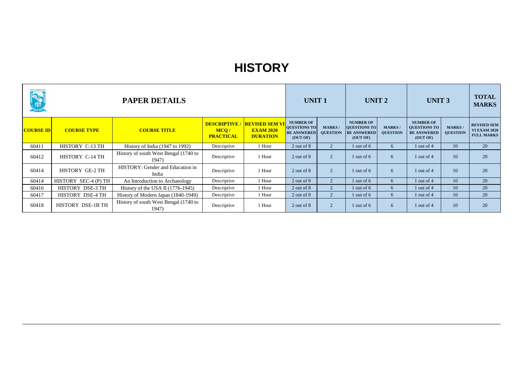| <b>The Contract of Second Contract of Second Contract of Second Contract of Second Contract of Second Contract of Second Contract of Second Contract of Second Contract of Second Contract of Second Contract of Second Contract</b> | <b>PAPER DETAILS</b><br><b>DESCRIPTIVE / REVISED SEM VI</b> |                                                |                          |                                     |                                                                           | <b>UNIT1</b>                     |                                                                    | UNIT <sub>2</sub>                |                                                                           | <b>UNIT 3</b>                    |                                                                |
|--------------------------------------------------------------------------------------------------------------------------------------------------------------------------------------------------------------------------------------|-------------------------------------------------------------|------------------------------------------------|--------------------------|-------------------------------------|---------------------------------------------------------------------------|----------------------------------|--------------------------------------------------------------------|----------------------------------|---------------------------------------------------------------------------|----------------------------------|----------------------------------------------------------------|
| <b>COURSE ID</b>                                                                                                                                                                                                                     | <b>COURSE TYPE</b>                                          | <b>COURSE TITLE</b>                            | MCO/<br><b>PRACTICAL</b> | <b>EXAM 2020</b><br><b>DURATION</b> | <b>NUMBER OF</b><br><b>QUESTIONS TO</b><br><b>BE ANSWERED</b><br>(OUT OF) | <b>MARKS/</b><br><b>QUESTION</b> | <b>NUMBER OF</b><br>QUESTIONS TO<br><b>BE ANSWERED</b><br>(OUT OF) | <b>MARKS/</b><br><b>QUESTION</b> | <b>NUMBER OF</b><br><b>QUESTIONS TO</b><br><b>BE ANSWERED</b><br>(OUT OF) | <b>MARKS/</b><br><b>QUESTION</b> | <b>REVISED SEM</b><br><b>VI EXAM 2020</b><br><b>FULL MARKS</b> |
| 60411                                                                                                                                                                                                                                | HISTORY C-13 TH                                             | History of India (1947 to 1992)                | Descriptive              | 1 Hour                              | 2 out of 8                                                                | $\overline{2}$                   | $1$ out of 6                                                       | 6                                | 1 out of 4                                                                | 10                               | 20                                                             |
| 60412                                                                                                                                                                                                                                | HISTORY C-14 TH                                             | History of south West Bengal (1740 to<br>1947) | Descriptive              | 1 Hour                              | 2 out of 8                                                                | $\overline{2}$                   | 1 out of $6$                                                       | 6                                | 1 out of $4$                                                              | 10                               | 20                                                             |
| 60414                                                                                                                                                                                                                                | HISTORY GE-2 TH                                             | HISTORY: Gender and Education in<br>India      | Descriptive              | 1 Hour                              | 2 out of 8                                                                | $2^{\circ}$                      | 1 out of $6$                                                       | 6                                | 1 out of $4$                                                              | 10                               | 20                                                             |
| 60414                                                                                                                                                                                                                                | HISTORY SEC-4 (P) TH                                        | An Introduction to Archaeology                 | Descriptive              | 1 Hour                              | 2 out of 8                                                                | $\overline{2}$                   | 1 out of $6$                                                       | 6                                | $1$ out of $4$                                                            | 10                               | 20                                                             |
| 60416                                                                                                                                                                                                                                | HISTORY DSE-3 TH                                            | History of the USA II $(1776-1945)$            | Descriptive              | 1 Hour                              | 2 out of 8                                                                | $\overline{2}$                   | $1$ out of 6                                                       | 6                                | 1 out of 4                                                                | 10                               | 20                                                             |
| 60417                                                                                                                                                                                                                                | HISTORY DSE-4 TH                                            | History of Modern Japan (1840-1949)            | Descriptive              | 1 Hour                              | 2 out of 8                                                                | $\overline{2}$                   | 1 out of $6$                                                       | 6                                | 1 out of 4                                                                | 10                               | 20                                                             |
| 60418                                                                                                                                                                                                                                | HISTORY DSE-1B TH                                           | History of south West Bengal (1740 to<br>1947) | Descriptive              | 1 Hour                              | 2 out of 8                                                                | $\overline{2}$                   | 1 out of $6$                                                       | 6                                | 1 out of $4$                                                              | 10                               | 20                                                             |

#### **HISTORY**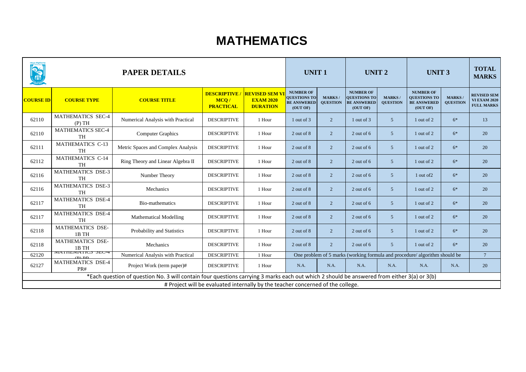| digen de de la libre de la libre de la libre de la libre de la libre de la libre de la libre de la libre de l<br>Libre de la libre de la libre de la libre de la libre de la libre de la libre de la libre de la libre de la l<br>Li | <b>PAPER DETAILS</b><br><b>DESCRIPTIVE</b> |                                                                                                                                            |                                                                                 |                                                             | <b>UNIT 1</b>                                                             |                                  | <b>UNIT 2</b>                                                             |                                   | <b>UNIT 3</b>                                                              |                                 | <b>TOTAL</b><br><b>MARKS</b>                                   |
|--------------------------------------------------------------------------------------------------------------------------------------------------------------------------------------------------------------------------------------|--------------------------------------------|--------------------------------------------------------------------------------------------------------------------------------------------|---------------------------------------------------------------------------------|-------------------------------------------------------------|---------------------------------------------------------------------------|----------------------------------|---------------------------------------------------------------------------|-----------------------------------|----------------------------------------------------------------------------|---------------------------------|----------------------------------------------------------------|
| <b>COURSE ID</b>                                                                                                                                                                                                                     | <b>COURSE TYPE</b>                         | <b>COURSE TITLE</b>                                                                                                                        | MCQ/<br><b>PRACTICAL</b>                                                        | <b>REVISED SEM V</b><br><b>EXAM 2020</b><br><b>DURATION</b> | <b>NUMBER OF</b><br><b>QUESTIONS TO</b><br><b>BE ANSWERED</b><br>(OUT OF) | <b>MARKS/</b><br><b>QUESTION</b> | <b>NUMBER OF</b><br><b>QUESTIONS TO</b><br><b>BE ANSWERED</b><br>(OUT OF) | <b>MARKS</b> /<br><b>QUESTION</b> | <b>NUMBER OF</b><br><b>QUESTIONS TO</b><br><b>BE ANSWERED</b><br>(OUT OF)  | <b>MARKS</b><br><b>QUESTION</b> | <b>REVISED SEM</b><br><b>VI EXAM 2020</b><br><b>FULL MARKS</b> |
| 62110                                                                                                                                                                                                                                | <b>MATHEMATICS SEC-4</b><br>(P) TH         | Numerical Analysis with Practical                                                                                                          | <b>DESCRIPTIVE</b>                                                              | 1 Hour                                                      | 1 out of 3                                                                | $\overline{2}$                   | 1 out of 3                                                                | 5 <sup>5</sup>                    | 1 out of 2                                                                 | $6*$                            | 13                                                             |
| 62110                                                                                                                                                                                                                                | <b>MATHEMATICS SEC-4</b><br><b>TH</b>      | <b>Computer Graphics</b>                                                                                                                   | <b>DESCRIPTIVE</b>                                                              | 1 Hour                                                      | 2 out of 8                                                                | $\overline{2}$                   | 2 out of 6                                                                | 5 <sup>5</sup>                    | 1 out of 2                                                                 | $6*$                            | 20                                                             |
| 62111                                                                                                                                                                                                                                | <b>MATHEMATICS C-13</b><br><b>TH</b>       | Metric Spaces and Complex Analysis                                                                                                         | <b>DESCRIPTIVE</b>                                                              | 1 Hour                                                      | 2 out of 8                                                                | $\overline{2}$                   | $2$ out of 6                                                              | 5 <sup>5</sup>                    | 1 out of 2                                                                 | $6*$                            | 20                                                             |
| 62112                                                                                                                                                                                                                                | <b>MATHEMATICS C-14</b><br><b>TH</b>       | Ring Theory and Linear Algebra II                                                                                                          | <b>DESCRIPTIVE</b>                                                              | 1 Hour                                                      | 2 out of 8                                                                | $\overline{2}$                   | 2 out of 6                                                                | 5 <sup>5</sup>                    | 1 out of 2                                                                 | $6*$                            | 20                                                             |
| 62116                                                                                                                                                                                                                                | MATHEMATICS DSE-3<br><b>TH</b>             | Number Theory                                                                                                                              | <b>DESCRIPTIVE</b>                                                              | 1 Hour                                                      | 2 out of 8                                                                | $\overline{2}$                   | 2 out of 6                                                                | 5 <sup>5</sup>                    | 1 out of 2                                                                 | $6*$                            | 20                                                             |
| 62116                                                                                                                                                                                                                                | <b>MATHEMATICS DSE-3</b><br><b>TH</b>      | Mechanics                                                                                                                                  | <b>DESCRIPTIVE</b>                                                              | 1 Hour                                                      | 2 out of 8                                                                | $\overline{2}$                   | 2 out of 6                                                                | 5 <sup>5</sup>                    | 1 out of 2                                                                 | $6*$                            | 20                                                             |
| 62117                                                                                                                                                                                                                                | <b>MATHEMATICS DSE-4</b><br><b>TH</b>      | Bio-mathematics                                                                                                                            | <b>DESCRIPTIVE</b>                                                              | 1 Hour                                                      | 2 out of 8                                                                | $\overline{2}$                   | $2$ out of 6                                                              | 5 <sup>5</sup>                    | 1 out of 2                                                                 | $6*$                            | 20                                                             |
| 62117                                                                                                                                                                                                                                | <b>MATHEMATICS DSE-4</b><br><b>TH</b>      | <b>Mathematical Modelling</b>                                                                                                              | <b>DESCRIPTIVE</b>                                                              | 1 Hour                                                      | 2 out of 8                                                                | $\overline{2}$                   | $2$ out of 6                                                              | 5 <sup>5</sup>                    | 1 out of 2                                                                 | $6*$                            | 20                                                             |
| 62118                                                                                                                                                                                                                                | <b>MATHEMATICS DSE-</b><br>1B TH           | Probability and Statistics                                                                                                                 | <b>DESCRIPTIVE</b>                                                              | 1 Hour                                                      | 2 out of 8                                                                | $\overline{2}$                   | 2 out of 6                                                                | 5 <sup>5</sup>                    | 1 out of 2                                                                 | $6*$                            | 20                                                             |
| 62118                                                                                                                                                                                                                                | <b>MATHEMATICS DSE-</b><br>1B TH           | Mechanics                                                                                                                                  | <b>DESCRIPTIVE</b>                                                              | 1 Hour                                                      | 2 out of 8                                                                | $\overline{2}$                   | 2 out of 6                                                                | 5 <sup>5</sup>                    | 1 out of 2                                                                 | $6*$                            | 20                                                             |
| 62120                                                                                                                                                                                                                                | NIAI FIENIA I IU. DEU-4<br>$(D)$ $DD$      | <b>Numerical Analysis with Practical</b>                                                                                                   | <b>DESCRIPTIVE</b>                                                              | 1 Hour                                                      |                                                                           |                                  |                                                                           |                                   | One problem of 5 marks (working formula and procedure/ algorithm should be |                                 |                                                                |
| 62127                                                                                                                                                                                                                                | <b>MATHEMATICS DSE-4</b><br>PR#            | Project Work (term paper)#                                                                                                                 | <b>DESCRIPTIVE</b>                                                              | 1 Hour                                                      | N.A.                                                                      | N.A.                             | N.A.                                                                      | N.A.                              | N.A.                                                                       | N.A.                            | 20                                                             |
|                                                                                                                                                                                                                                      |                                            | *Each question of question No. 3 will contain four questions carrying 3 marks each out which 2 should be answered from either 3(a) or 3(b) |                                                                                 |                                                             |                                                                           |                                  |                                                                           |                                   |                                                                            |                                 |                                                                |
|                                                                                                                                                                                                                                      |                                            |                                                                                                                                            | # Project will be evaluated internally by the teacher concerned of the college. |                                                             |                                                                           |                                  |                                                                           |                                   |                                                                            |                                 |                                                                |

### **MATHEMATICS**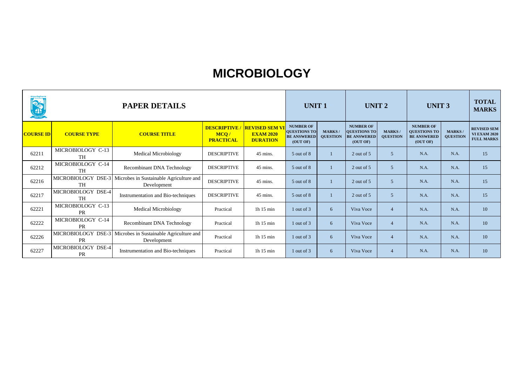| RE               | <b>PAPER DETAILS</b>            |                                                                           |                                                |                                                              |                                                                           | <b>UNIT1</b>                     |                                                                           | <b>UNIT 2</b>                     |                                                                           | <b>UNIT 3</b>                     |                                                                |
|------------------|---------------------------------|---------------------------------------------------------------------------|------------------------------------------------|--------------------------------------------------------------|---------------------------------------------------------------------------|----------------------------------|---------------------------------------------------------------------------|-----------------------------------|---------------------------------------------------------------------------|-----------------------------------|----------------------------------------------------------------|
| <b>COURSE ID</b> | <b>COURSE TYPE</b>              | <b>COURSE TITLE</b>                                                       | <b>DESCRIPTIVE</b><br>MCQ/<br><b>PRACTICAL</b> | <b>REVISED SEM VI</b><br><b>EXAM 2020</b><br><b>DURATION</b> | <b>NUMBER OF</b><br><b>QUESTIONS TO</b><br><b>BE ANSWERED</b><br>(OUT OF) | <b>MARKS/</b><br><b>QUESTION</b> | <b>NUMBER OF</b><br><b>QUESTIONS TO</b><br><b>BE ANSWERED</b><br>(OUT OF) | <b>MARKS</b> /<br><b>QUESTION</b> | <b>NUMBER OF</b><br><b>QUESTIONS TO</b><br><b>BE ANSWERED</b><br>(OUT OF) | <b>MARKS</b> /<br><b>QUESTION</b> | <b>REVISED SEM</b><br><b>VI EXAM 2020</b><br><b>FULL MARKS</b> |
| 62211            | MICROBIOLOGY C-13<br><b>TH</b>  | <b>Medical Microbiology</b>                                               | <b>DESCRIPTIVE</b>                             | 45 mins.                                                     | 5 out of 8                                                                |                                  | 2 out of 5                                                                | 5                                 | N.A.                                                                      | N.A.                              | 15                                                             |
| 62212            | MICROBIOLOGY C-14<br><b>TH</b>  | <b>Recombinant DNA Technology</b>                                         | <b>DESCRIPTIVE</b>                             | 45 mins.                                                     | 5 out of 8                                                                |                                  | 2 out of 5                                                                | 5 <sup>5</sup>                    | N.A.                                                                      | N.A.                              | 15                                                             |
| 62216            | MICROBIOLOGY DSE-3<br><b>TH</b> | Microbes in Sustainable Agriculture and<br>Development                    | <b>DESCRIPTIVE</b>                             | 45 mins.                                                     | 5 out of 8                                                                |                                  | 2 out of 5                                                                | 5                                 | N.A.                                                                      | N.A.                              | 15                                                             |
| 62217            | MICROBIOLOGY DSE-4<br><b>TH</b> | Instrumentation and Bio-techniques                                        | <b>DESCRIPTIVE</b>                             | 45 mins.                                                     | 5 out of 8                                                                |                                  | 2 out of 5                                                                | 5                                 | N.A.                                                                      | N.A.                              | 15                                                             |
| 62221            | MICROBIOLOGY C-13<br><b>PR</b>  | <b>Medical Microbiology</b>                                               | Practical                                      | 1h $15 \text{ min}$                                          | 1 out of 3                                                                | 6                                | Viva Voce                                                                 | $\overline{4}$                    | N.A.                                                                      | N.A.                              | 10                                                             |
| 62222            | MICROBIOLOGY C-14<br><b>PR</b>  | <b>Recombinant DNA Technology</b>                                         | Practical                                      | 1h $15 \text{ min}$                                          | 1 out of 3                                                                | 6                                | Viva Voce                                                                 | $\overline{4}$                    | N.A.                                                                      | N.A.                              | 10                                                             |
| 62226            | <b>PR</b>                       | MICROBIOLOGY DSE-3 Microbes in Sustainable Agriculture and<br>Development | Practical                                      | 1h $15 \text{ min}$                                          | 1 out of 3                                                                | 6                                | Viva Voce                                                                 | $\overline{4}$                    | N.A.                                                                      | N.A.                              | 10                                                             |
| 62227            | MICROBIOLOGY DSE-4<br><b>PR</b> | Instrumentation and Bio-techniques                                        | Practical                                      | 1h $15 \text{ min}$                                          | 1 out of 3                                                                | 6                                | Viva Voce                                                                 | $\overline{4}$                    | N.A.                                                                      | N.A.                              | 10                                                             |

#### **MICROBIOLOGY**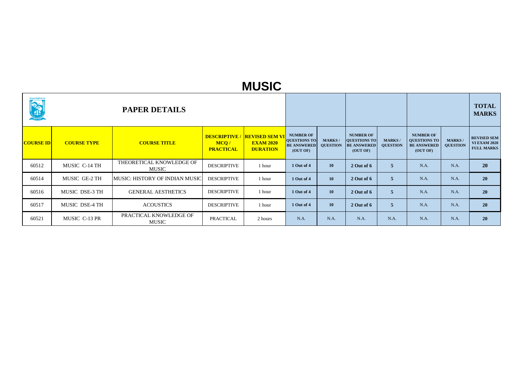|                  | <b>PAPER DETAILS</b> |                                          |                                                 |                                                              |                                                                           |                                  |                                                                           |                                  |                                                                           |                                  | <b>TOTAL</b><br><b>MARKS</b>                                   |
|------------------|----------------------|------------------------------------------|-------------------------------------------------|--------------------------------------------------------------|---------------------------------------------------------------------------|----------------------------------|---------------------------------------------------------------------------|----------------------------------|---------------------------------------------------------------------------|----------------------------------|----------------------------------------------------------------|
| <b>COURSE ID</b> | <b>COURSE TYPE</b>   | <b>COURSE TITLE</b>                      | <b>DESCRIPTIVE/</b><br>MCQ/<br><b>PRACTICAL</b> | <b>REVISED SEM VI</b><br><b>EXAM 2020</b><br><b>DURATION</b> | <b>NUMBER OF</b><br><b>QUESTIONS TO</b><br><b>BE ANSWERED</b><br>(OUT OF) | <b>MARKS/</b><br><b>QUESTION</b> | <b>NUMBER OF</b><br><b>QUESTIONS TO</b><br><b>BE ANSWERED</b><br>(OUT OF) | <b>MARKS/</b><br><b>QUESTION</b> | <b>NUMBER OF</b><br><b>QUESTIONS TO</b><br><b>BE ANSWERED</b><br>(OUT OF) | <b>MARKS/</b><br><b>QUESTION</b> | <b>REVISED SEM</b><br><b>VI EXAM 2020</b><br><b>FULL MARKS</b> |
| 60512            | MUSIC C-14 TH        | THEORETICAL KNOWLEDGE OF<br><b>MUSIC</b> | <b>DESCRIPTIVE</b>                              | 1 hour                                                       | 1 Out of 4                                                                | <b>10</b>                        | $2$ Out of 6                                                              | 5 <sup>5</sup>                   | N.A.                                                                      | N.A.                             | <b>20</b>                                                      |
| 60514            | MUSIC GE-2 TH        | <b>MUSIC: HISTORY OF INDIAN MUSIC</b>    | <b>DESCRIPTIVE</b>                              | 1 hour                                                       | 1 Out of 4                                                                | 10                               | $2$ Out of 6                                                              | $\overline{5}$                   | N.A.                                                                      | N.A.                             | <b>20</b>                                                      |
| 60516            | MUSIC DSE-3 TH       | <b>GENERAL AESTHETICS</b>                | <b>DESCRIPTIVE</b>                              | 1 hour                                                       | 1 Out of 4                                                                | 10                               | 2 Out of 6                                                                | 5 <sup>5</sup>                   | N.A.                                                                      | N.A.                             | 20                                                             |
| 60517            | MUSIC DSE-4 TH       | <b>ACOUSTICS</b>                         | <b>DESCRIPTIVE</b>                              | 1 hour                                                       | 1 Out of 4                                                                | <b>10</b>                        | $2$ Out of 6                                                              | 5 <sup>5</sup>                   | N.A.                                                                      | N.A.                             | 20                                                             |
| 60521            | MUSIC C-13 PR        | PRACTICAL KNOWLEDGE OF<br><b>MUSIC</b>   | <b>PRACTICAL</b>                                | 2 hours                                                      | N.A.                                                                      | N.A.                             | N.A.                                                                      | N.A.                             | N.A.                                                                      | N.A.                             | 20                                                             |

#### **MUSIC**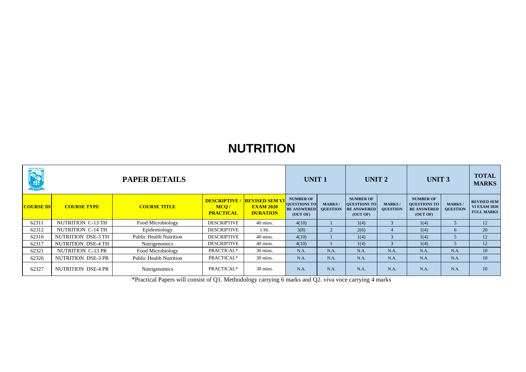| <b>Control Control Control Control Control Control Control Control Control Control Control Control Control Control Control Control Control Control Control Control Control Control Control Control Control Control Control Contr</b> |                    |                                |                          | <b>UNIT 1</b>                                                              |                                                                           | <b>UNIT 2</b>                    |                                                                           | <b>UNIT 3</b>                    |                                                                           | <b>TOTAL</b><br><b>MARKS</b>    |                                                                |
|--------------------------------------------------------------------------------------------------------------------------------------------------------------------------------------------------------------------------------------|--------------------|--------------------------------|--------------------------|----------------------------------------------------------------------------|---------------------------------------------------------------------------|----------------------------------|---------------------------------------------------------------------------|----------------------------------|---------------------------------------------------------------------------|---------------------------------|----------------------------------------------------------------|
| <b>COURSE ID</b>                                                                                                                                                                                                                     | <b>COURSE TYPE</b> | <b>COURSE TITLE</b>            | MCO/<br><b>PRACTICAL</b> | <b>DESCRIPTIVE / REVISED SEM VI</b><br><b>EXAM 2020</b><br><b>DURATION</b> | <b>NUMBER OF</b><br><b>QUESTIONS TO</b><br><b>BE ANSWERED</b><br>(OUT OF) | <b>MARKS/</b><br><b>QUESTION</b> | <b>NUMBER OF</b><br><b>QUESTIONS TO</b><br><b>BE ANSWERED</b><br>(OUT OF) | <b>MARKS/</b><br><b>QUESTION</b> | <b>NUMBER OF</b><br><b>QUESTIONS TO</b><br><b>BE ANSWERED</b><br>(OUT OF) | <b>MARKS</b><br><b>QUESTION</b> | <b>REVISED SEM</b><br><b>VI EXAM 2020</b><br><b>FULL MARKS</b> |
| 62311                                                                                                                                                                                                                                | NUTRITION C-13 TH  | Food Microbiology              | <b>DESCRIPTIVE</b>       | 40 mins.                                                                   | 4(10)                                                                     |                                  | 1(4)                                                                      |                                  | 1(4)                                                                      |                                 | 12                                                             |
| 62312                                                                                                                                                                                                                                | NUTRITION C-14 TH  | Epidemiology                   | <b>DESCRIPTIVE</b>       | $1$ Hr.                                                                    | 3(8)                                                                      | $\overline{2}$                   | 2(6)                                                                      |                                  | 1(4)                                                                      | $\mathfrak{b}$                  | 20                                                             |
| 62316                                                                                                                                                                                                                                | NUTRITION DSE-3 TH | <b>Public Health Nutrition</b> | <b>DESCRIPTIVE</b>       | 40 mins.                                                                   | 4(10)                                                                     |                                  | 1(4)                                                                      |                                  | 1(4)                                                                      |                                 | 12                                                             |
| 62317                                                                                                                                                                                                                                | NUTRITION DSE-4 TH | Nutrigenomics                  | <b>DESCRIPTIVE</b>       | 40 mins.                                                                   | 4(10)                                                                     |                                  | 1(4)                                                                      | 3                                | 1(4)                                                                      |                                 | 12                                                             |
| 62321                                                                                                                                                                                                                                | NUTRITION C-13 PR  | Food Microbiology              | PRACTICAL*               | 30 mins.                                                                   | N.A.                                                                      | N.A.                             | N.A.                                                                      | N.A.                             | N.A.                                                                      | N.A.                            | 10                                                             |
| 62326                                                                                                                                                                                                                                | NUTRITION DSE-3 PR | <b>Public Health Nutrition</b> | PRACTICAL*               | 30 mins.                                                                   | N.A.                                                                      | N.A.                             | N.A.                                                                      | N.A.                             | N.A.                                                                      | N.A.                            | 10                                                             |
| 62327                                                                                                                                                                                                                                | NUTRITION DSE-4 PR | Nutrigenomics                  | PRACTICAL*               | 30 mins.                                                                   | N.A.                                                                      | N.A.                             | N.A.                                                                      | N.A.                             | N.A.                                                                      | N.A.                            | 10                                                             |

## **NUTRITION**

\*Practical Papers will consist of Q1. Methodology carrying 6 marks and Q2. viva voce carrying 4 marks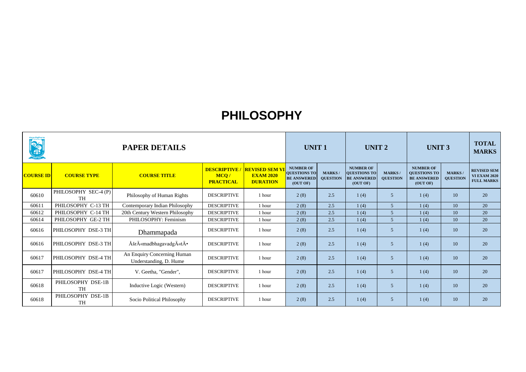| READER           | <b>PAPER DETAILS</b>              |                                                       |                                                |                                                             | <b>UNIT1</b>                                                              |                                  | <b>UNIT 2</b>                                                             |                                   | <b>UNIT 3</b>                                                             | <b>TOTAL</b><br><b>MARKS</b>      |                                                                |
|------------------|-----------------------------------|-------------------------------------------------------|------------------------------------------------|-------------------------------------------------------------|---------------------------------------------------------------------------|----------------------------------|---------------------------------------------------------------------------|-----------------------------------|---------------------------------------------------------------------------|-----------------------------------|----------------------------------------------------------------|
| <b>COURSE ID</b> | <b>COURSE TYPE</b>                | <b>COURSE TITLE</b>                                   | <b>DESCRIPTIVE</b><br>MCO/<br><b>PRACTICAL</b> | <b>REVISED SEM V</b><br><b>EXAM 2020</b><br><b>DURATION</b> | <b>NUMBER OF</b><br><b>QUESTIONS TO</b><br><b>BE ANSWERED</b><br>(OUT OF) | <b>MARKS/</b><br><b>QUESTION</b> | <b>NUMBER OF</b><br><b>QUESTIONS TO</b><br><b>BE ANSWERED</b><br>(OUT OF) | <b>MARKS</b> /<br><b>QUESTION</b> | <b>NUMBER OF</b><br><b>QUESTIONS TO</b><br><b>BE ANSWERED</b><br>(OUT OF) | <b>MARKS</b> /<br><b>QUESTION</b> | <b>REVISED SEM</b><br><b>VI EXAM 2020</b><br><b>FULL MARKS</b> |
| 60610            | PHILOSOPHY SEC-4 (P)<br><b>TH</b> | Philosophy of Human Rights                            | <b>DESCRIPTIVE</b>                             | 1 hour                                                      | 2(8)                                                                      | 2.5                              | 1(4)                                                                      | 5                                 | 1(4)                                                                      | 10                                | 20                                                             |
| 60611            | PHILOSOPHY C-13 TH                | Contemporary Indian Philosophy                        | <b>DESCRIPTIVE</b>                             | 1 hour                                                      | 2(8)                                                                      | 2.5                              | 1(4)                                                                      | $\overline{5}$                    | 1(4)                                                                      | 10                                | 20                                                             |
| 60612            | PHILOSOPHY C-14 TH                | 20th Century Western Philosophy                       | <b>DESCRIPTIVE</b>                             | 1 hour                                                      | 2(8)                                                                      | 2.5                              | 1(4)                                                                      | 5                                 | 1(4)                                                                      | 10                                | 20                                                             |
| 60614            | PHILOSOPHY GE-2 TH                | PHILOSOPHY: Feminism                                  | <b>DESCRIPTIVE</b>                             | 1 hour                                                      | 2(8)                                                                      | 2.5                              | 1(4)                                                                      | 5                                 | 1(4)                                                                      | 10                                | 20                                                             |
| 60616            | PHILOSOPHY DSE-3 TH               | Dhammapada                                            | <b>DESCRIPTIVE</b>                             | 1 hour                                                      | 2(8)                                                                      | 2.5                              | 1(4)                                                                      | 5                                 | 1(4)                                                                      | 10                                | 20                                                             |
| 60616            | PHILOSOPHY DSE-3 TH               | ÅšrÄ«madbhagavadgÄ«tÄ ·                               | <b>DESCRIPTIVE</b>                             | 1 hour                                                      | 2(8)                                                                      | 2.5                              | 1(4)                                                                      | 5                                 | 1(4)                                                                      | 10                                | 20                                                             |
| 60617            | PHILOSOPHY DSE-4 TH               | An Enquiry Concerning Human<br>Understanding, D. Hume | <b>DESCRIPTIVE</b>                             | 1 hour                                                      | 2(8)                                                                      | 2.5                              | 1(4)                                                                      | 5                                 | 1(4)                                                                      | 10                                | 20                                                             |
| 60617            | PHILOSOPHY DSE-4 TH               | V. Geetha, "Gender",                                  | <b>DESCRIPTIVE</b>                             | 1 hour                                                      | 2(8)                                                                      | 2.5                              | 1(4)                                                                      | 5                                 | 1(4)                                                                      | 10                                | 20                                                             |
| 60618            | PHILOSOPHY DSE-1B<br><b>TH</b>    | Inductive Logic (Western)                             | <b>DESCRIPTIVE</b>                             | 1 hour                                                      | 2(8)                                                                      | 2.5                              | 1(4)                                                                      | 5                                 | 1(4)                                                                      | 10                                | 20                                                             |
| 60618            | PHILOSOPHY DSE-1B<br><b>TH</b>    | Socio Political Philosophy                            | <b>DESCRIPTIVE</b>                             | 1 hour                                                      | 2(8)                                                                      | 2.5                              | 1(4)                                                                      | 5                                 | 1(4)                                                                      | 10                                | 20                                                             |

#### **PHILOSOPHY**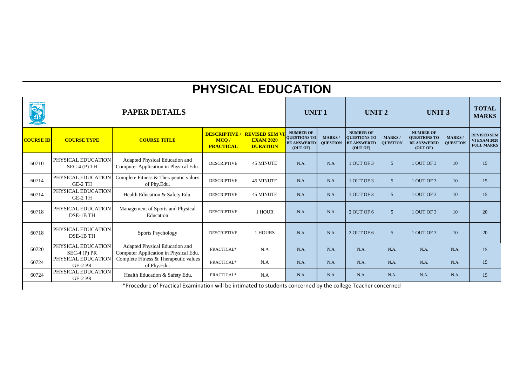| <b>OSTA</b>      | <b>PAPER DETAILS</b><br><b>DESCRIPTIVE</b><br><b>REVISED SEM V</b> |                                                                         |                          |                                     |                                                       | <b>UNIT 1</b><br><b>NUMBER OF</b> |                                                                           | <b>UNIT 2</b>                     |                                                                           | <b>UNIT 3</b>                     |                                                                |
|------------------|--------------------------------------------------------------------|-------------------------------------------------------------------------|--------------------------|-------------------------------------|-------------------------------------------------------|-----------------------------------|---------------------------------------------------------------------------|-----------------------------------|---------------------------------------------------------------------------|-----------------------------------|----------------------------------------------------------------|
| <b>COURSE ID</b> | <b>COURSE TYPE</b>                                                 | <b>COURSE TITLE</b>                                                     | MCQ/<br><b>PRACTICAL</b> | <b>EXAM 2020</b><br><b>DURATION</b> | <b>QUESTIONS TO</b><br><b>BE ANSWERED</b><br>(OUT OF) | <b>MARKS/</b><br><b>QUESTION</b>  | <b>NUMBER OF</b><br><b>QUESTIONS TO</b><br><b>BE ANSWERED</b><br>(OUT OF) | <b>MARKS</b> /<br><b>QUESTION</b> | <b>NUMBER OF</b><br><b>QUESTIONS TO</b><br><b>BE ANSWERED</b><br>(OUT OF) | <b>MARKS</b> /<br><b>QUESTION</b> | <b>REVISED SEM</b><br><b>VI EXAM 2020</b><br><b>FULL MARKS</b> |
| 60710            | PHYSICAL EDUCATION<br>$SEC-4(P) TH$                                | Adapted Physical Education and<br>Computer Application in Physical Edu. | <b>DESCRIPTIVE</b>       | <b>45 MINUTE</b>                    | N.A.                                                  | N.A.                              | 1 OUT OF 3                                                                | 5 <sup>5</sup>                    | 1 OUT OF 3                                                                | 10                                | 15                                                             |
| 60714            | PHYSICAL EDUCATION<br>GE-2 TH                                      | Complete Fitness & Therapeutic values<br>of Phy.Edu.                    | <b>DESCRIPTIVE</b>       | <b>45 MINUTE</b>                    | N.A.                                                  | N.A.                              | 1 OUT OF 3                                                                | 5 <sup>5</sup>                    | 1 OUT OF 3                                                                | 10                                | 15                                                             |
| 60714            | PHYSICAL EDUCATION<br>GE-2 TH                                      | Health Education & Safety Edu.                                          | <b>DESCRIPTIVE</b>       | <b>45 MINUTE</b>                    | N.A.                                                  | N.A.                              | 1 OUT OF 3                                                                | 5 <sup>5</sup>                    | 1 OUT OF 3                                                                | 10                                | 15                                                             |
| 60718            | PHYSICAL EDUCATION<br>DSE-1B TH                                    | Management of Sports and Physical<br>Education                          | <b>DESCRIPTIVE</b>       | 1 HOUR                              | N.A.                                                  | N.A.                              | 2 OUT OF 6                                                                | 5 <sup>5</sup>                    | 1 OUT OF 3                                                                | 10                                | 20                                                             |
| 60718            | PHYSICAL EDUCATION<br>DSE-1B TH                                    | <b>Sports Psychology</b>                                                | <b>DESCRIPTIVE</b>       | 1 HOURS                             | N.A.                                                  | N.A.                              | 2 OUT OF 6                                                                | 5 <sup>5</sup>                    | 1 OUT OF 3                                                                | 10                                | 20                                                             |
| 60720            | PHYSICAL EDUCATION<br>$SEC-4 (P) PR$                               | Adapted Physical Education and<br>Computer Application in Physical Edu. | PRACTICAL*               | N.A                                 | N.A.                                                  | N.A.                              | N.A.                                                                      | N.A.                              | N.A.                                                                      | N.A.                              | 15                                                             |
| 60724            | PHYSICAL EDUCATION<br>GE-2 PR                                      | Complete Fitness & Therapeutic values<br>of Phy.Edu.                    | PRACTICAL*               | N.A                                 | N.A.                                                  | N.A.                              | N.A.                                                                      | N.A.                              | N.A.                                                                      | N.A.                              | 15                                                             |
| 60724            | PHYSICAL EDUCATION<br>GE-2 PR                                      | Health Education & Safety Edu.                                          | PRACTICAL*               | N.A                                 | N.A.                                                  | N.A.                              | N.A.                                                                      | N.A.                              | N.A.                                                                      | N.A.                              | 15                                                             |

#### **PHYSICAL EDUCATION**

\*Procedure of Practical Examination will be intimated to students concerned by the college Teacher concerned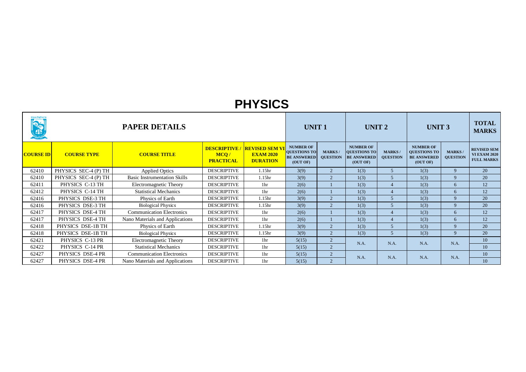|                  |                      | <b>PAPER DETAILS</b>                |                                                  |                                                              | <b>UNIT1</b>                                                              |                                  | UNIT <sub>2</sub>                                                  |                                  | <b>UNIT 3</b>                                                             | <b>TOTAL</b><br><b>MARKS</b>     |                                                                |
|------------------|----------------------|-------------------------------------|--------------------------------------------------|--------------------------------------------------------------|---------------------------------------------------------------------------|----------------------------------|--------------------------------------------------------------------|----------------------------------|---------------------------------------------------------------------------|----------------------------------|----------------------------------------------------------------|
| <b>COURSE ID</b> | <b>COURSE TYPE</b>   | <b>COURSE TITLE</b>                 | <b>DESCRIPTIVE /</b><br>MCQ/<br><b>PRACTICAL</b> | <b>REVISED SEM VI</b><br><b>EXAM 2020</b><br><b>DURATION</b> | <b>NUMBER OF</b><br><b>QUESTIONS TO</b><br><b>BE ANSWERED</b><br>(OUT OF) | <b>MARKS/</b><br><b>QUESTION</b> | <b>NUMBER OF</b><br>QUESTIONS TO<br><b>BE ANSWERED</b><br>(OUT OF) | <b>MARKS/</b><br><b>OUESTION</b> | <b>NUMBER OF</b><br><b>QUESTIONS TO</b><br><b>BE ANSWERED</b><br>(OUT OF) | <b>MARKS/</b><br><b>QUESTION</b> | <b>REVISED SEM</b><br><b>VI EXAM 2020</b><br><b>FULL MARKS</b> |
| 62410            | PHYSICS SEC-4 (P) TH | <b>Applied Optics</b>               | <b>DESCRIPTIVE</b>                               | 1.15 <sub>hr</sub>                                           | 3(9)                                                                      | 2                                | 1(3)                                                               | 5 <sup>5</sup>                   | 1(3)                                                                      | 9                                | 20                                                             |
| 62410            | PHYSICS SEC-4 (P) TH | <b>Basic Instrumentation Skills</b> | <b>DESCRIPTIVE</b>                               | 1.15 <sub>hr</sub>                                           | 3(9)                                                                      | $\overline{2}$                   | 1(3)                                                               | $\mathfrak{H}$                   | 1(3)                                                                      | 9                                | 20                                                             |
| 62411            | PHYSICS C-13 TH      | Electromagnetic Theory              | <b>DESCRIPTIVE</b>                               | 1 <sub>hr</sub>                                              | 2(6)                                                                      |                                  | 1(3)                                                               |                                  | 1(3)                                                                      | 6                                | 12                                                             |
| 62412            | PHYSICS C-14 TH      | <b>Statistical Mechanics</b>        | <b>DESCRIPTIVE</b>                               | 1 <sub>hr</sub>                                              | 2(6)                                                                      |                                  | 1(3)                                                               |                                  | 1(3)                                                                      | 6                                | 12                                                             |
| 62416            | PHYSICS DSE-3 TH     | Physics of Earth                    | <b>DESCRIPTIVE</b>                               | 1.15 <sub>hr</sub>                                           | 3(9)                                                                      | $\overline{2}$                   | 1(3)                                                               | 5                                | 1(3)                                                                      | $\mathbf{Q}$                     | 20                                                             |
| 62416            | PHYSICS DSE-3 TH     | <b>Biological Physics</b>           | <b>DESCRIPTIVE</b>                               | 1.15 <sub>hr</sub>                                           | 3(9)                                                                      | $\overline{2}$                   | 1(3)                                                               |                                  | 1(3)                                                                      | 9                                | 20                                                             |
| 62417            | PHYSICS DSE-4 TH     | <b>Communication Electronics</b>    | <b>DESCRIPTIVE</b>                               | 1 <sub>hr</sub>                                              | 2(6)                                                                      |                                  | 1(3)                                                               |                                  | 1(3)                                                                      | 6                                | 12                                                             |
| 62417            | PHYSICS DSE-4 TH     | Nano Materials and Applications     | <b>DESCRIPTIVE</b>                               | 1 <sub>hr</sub>                                              | 2(6)                                                                      |                                  | 1(3)                                                               | $\overline{4}$                   | 1(3)                                                                      | 6                                | 12                                                             |
| 62418            | PHYSICS DSE-1B TH    | Physics of Earth                    | <b>DESCRIPTIVE</b>                               | 1.15 <sub>hr</sub>                                           | 3(9)                                                                      | 2                                | 1(3)                                                               | 5                                | 1(3)                                                                      | 9                                | 20                                                             |
| 62418            | PHYSICS DSE-1B TH    | <b>Biological Physics</b>           | <b>DESCRIPTIVE</b>                               | 1.15 <sub>hr</sub>                                           | 3(9)                                                                      | $\overline{2}$                   | 1(3)                                                               | 5                                | 1(3)                                                                      | $\mathbf{Q}$                     | 20                                                             |
| 62421            | PHYSICS C-13 PR      | Electromagnetic Theory              | <b>DESCRIPTIVE</b>                               | 1 <sub>hr</sub>                                              | 5(15)                                                                     | $\overline{2}$                   | N.A.                                                               | N.A.                             | N.A.                                                                      | N.A.                             | 10                                                             |
| 62422            | PHYSICS C-14 PR      | <b>Statistical Mechanics</b>        | <b>DESCRIPTIVE</b>                               | 1 <sub>hr</sub>                                              | 5(15)                                                                     | $\overline{2}$                   |                                                                    |                                  |                                                                           |                                  | 10                                                             |
| 62427            | PHYSICS DSE-4 PR     | <b>Communication Electronics</b>    | <b>DESCRIPTIVE</b>                               | 1 <sup>hr</sup>                                              | 5(15)                                                                     | $\overline{2}$                   | N.A.                                                               | N.A.                             | N.A.                                                                      | N.A.                             | 10                                                             |
| 62427            | PHYSICS DSE-4 PR     | Nano Materials and Applications     | <b>DESCRIPTIVE</b>                               | 1 <sup>hr</sup>                                              | 5(15)                                                                     | $\overline{2}$                   |                                                                    |                                  |                                                                           |                                  | 10                                                             |

#### **PHYSICS**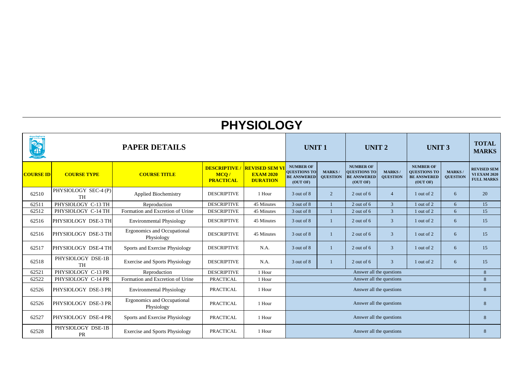|                  | <b>PAPER DETAILS</b>              |                                                  |                                                |                                                             | <b>UNIT1</b><br><b>NUMBER OF</b>                      |                                  | UNIT <sub>2</sub>                                                         |                                   | <b>UNIT 3</b>                                                             |                                   | <b>TOTAL</b><br><b>MARKS</b>                                   |
|------------------|-----------------------------------|--------------------------------------------------|------------------------------------------------|-------------------------------------------------------------|-------------------------------------------------------|----------------------------------|---------------------------------------------------------------------------|-----------------------------------|---------------------------------------------------------------------------|-----------------------------------|----------------------------------------------------------------|
| <b>COURSE ID</b> | <b>COURSE TYPE</b>                | <b>COURSE TITLE</b>                              | <b>DESCRIPTIVE</b><br>MCQ/<br><b>PRACTICAL</b> | <b>REVISED SEM V</b><br><b>EXAM 2020</b><br><b>DURATION</b> | <b>QUESTIONS TO</b><br><b>BE ANSWERED</b><br>(OUT OF) | <b>MARKS/</b><br><b>QUESTION</b> | <b>NUMBER OF</b><br><b>QUESTIONS TO</b><br><b>BE ANSWERED</b><br>(OUT OF) | <b>MARKS</b> /<br><b>QUESTION</b> | <b>NUMBER OF</b><br><b>QUESTIONS TO</b><br><b>BE ANSWERED</b><br>(OUT OF) | <b>MARKS</b> /<br><b>QUESTION</b> | <b>REVISED SEM</b><br><b>VI EXAM 2020</b><br><b>FULL MARKS</b> |
| 62510            | PHYSIOLOGY SEC-4 (P)<br><b>TH</b> | <b>Applied Biochemistry</b>                      | <b>DESCRIPTIVE</b>                             | 1 Hour                                                      | 3 out of 8                                            | $\overline{2}$                   | 2 out of $6$                                                              | $\overline{4}$                    | 1 out of 2                                                                | 6                                 | 20                                                             |
| 62511            | PHYSIOLOGY C-13 TH                | Reproduction                                     | <b>DESCRIPTIVE</b>                             | 45 Minutes                                                  | 3 out of 8                                            |                                  | $2$ out of 6                                                              | $\overline{3}$                    | 1 out of 2                                                                | 6                                 | 15                                                             |
| 62512            | PHYSIOLOGY C-14 TH                | Formation and Excretion of Urine                 | <b>DESCRIPTIVE</b>                             | 45 Minutes                                                  | 3 out of 8                                            |                                  | $2$ out of 6                                                              | 3                                 | 1 out of 2                                                                | 6                                 | 15                                                             |
| 62516            | PHYSIOLOGY DSE-3 TH               | <b>Environmental Physiology</b>                  | <b>DESCRIPTIVE</b>                             | 45 Minutes                                                  | 3 out of 8                                            | 1                                | $2$ out of 6                                                              | $\overline{3}$                    | 1 out of 2                                                                | 6                                 | 15                                                             |
| 62516            | PHYSIOLOGY DSE-3 TH               | <b>Ergonomics and Occupational</b><br>Physiology | <b>DESCRIPTIVE</b>                             | 45 Minutes                                                  | 3 out of 8                                            |                                  | 2 out of 6                                                                | 3                                 | 1 out of 2                                                                | 6                                 | 15                                                             |
| 62517            | PHYSIOLOGY DSE-4 TH               | Sports and Exercise Physiology                   | <b>DESCRIPTIVE</b>                             | N.A.                                                        | 3 out of 8                                            |                                  | 2 out of $6$                                                              | 3                                 | 1 out of 2                                                                | 6                                 | 15                                                             |
| 62518            | PHYSIOLOGY DSE-1B<br><b>TH</b>    | <b>Exercise and Sports Physiology</b>            | <b>DESCRIPTIVE</b>                             | N.A.                                                        | 3 out of 8                                            | 1                                | $2$ out of 6                                                              | 3                                 | 1 out of 2                                                                | 6                                 | 15                                                             |
| 62521            | PHYSIOLOGY C-13 PR                | Reproduction                                     | <b>DESCRIPTIVE</b>                             | 1 Hour                                                      |                                                       |                                  | Answer all the questions                                                  |                                   |                                                                           |                                   | 8                                                              |
| 62522            | PHYSIOLOGY C-14 PR                | Formation and Excretion of Urine                 | <b>PRACTICAL</b>                               | 1 Hour                                                      |                                                       |                                  | Answer all the questions                                                  |                                   |                                                                           |                                   | 8                                                              |
| 62526            | PHYSIOLOGY DSE-3 PR               | <b>Environmental Physiology</b>                  | <b>PRACTICAL</b>                               | 1 Hour                                                      | Answer all the questions                              |                                  |                                                                           |                                   |                                                                           |                                   | 8                                                              |
| 62526            | PHYSIOLOGY DSE-3 PR               | <b>Ergonomics and Occupational</b><br>Physiology | <b>PRACTICAL</b>                               | 1 Hour                                                      | Answer all the questions                              |                                  |                                                                           |                                   |                                                                           | 8                                 |                                                                |
| 62527            | PHYSIOLOGY DSE-4 PR               | Sports and Exercise Physiology                   | <b>PRACTICAL</b>                               | 1 Hour                                                      | Answer all the questions                              |                                  |                                                                           |                                   |                                                                           | 8                                 |                                                                |
| 62528            | PHYSIOLOGY DSE-1B<br><b>PR</b>    | <b>Exercise and Sports Physiology</b>            | <b>PRACTICAL</b>                               | 1 Hour                                                      | Answer all the questions                              |                                  |                                                                           |                                   |                                                                           |                                   | 8                                                              |

# **PHYSIOLOGY**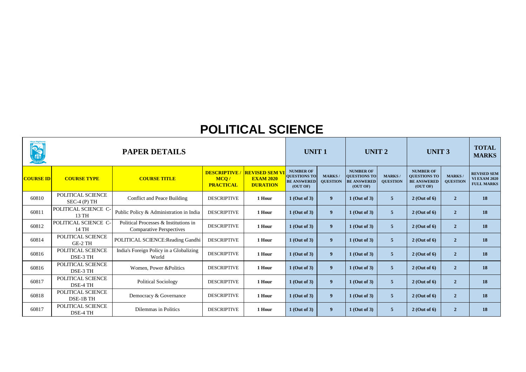| ହିତ୍ରା । ସୁକ୍ରାଣୁନା<br><b>CONTRACTOR</b> |                                    | <b>PAPER DETAILS</b>                                                     |                                                |                                                              | <b>UNIT1</b>                                                              |                                  | UNIT <sub>2</sub>                                                         |                                 | <b>UNIT 3</b>                                                             | <b>TOTAL</b><br><b>MARKS</b>     |                                                                |
|------------------------------------------|------------------------------------|--------------------------------------------------------------------------|------------------------------------------------|--------------------------------------------------------------|---------------------------------------------------------------------------|----------------------------------|---------------------------------------------------------------------------|---------------------------------|---------------------------------------------------------------------------|----------------------------------|----------------------------------------------------------------|
| <b>COURSE ID</b>                         | <b>COURSE TYPE</b>                 | <b>COURSE TITLE</b>                                                      | <b>DESCRIPTIVE</b><br>MCO/<br><b>PRACTICAL</b> | <b>REVISED SEM VI</b><br><b>EXAM 2020</b><br><b>DURATION</b> | <b>NUMBER OF</b><br><b>QUESTIONS TO</b><br><b>BE ANSWERED</b><br>(OUT OF) | <b>MARKS/</b><br><b>QUESTION</b> | <b>NUMBER OF</b><br><b>QUESTIONS TO</b><br><b>BE ANSWERED</b><br>(OUT OF) | <b>MARKS</b><br><b>QUESTION</b> | <b>NUMBER OF</b><br><b>QUESTIONS TO</b><br><b>BE ANSWERED</b><br>(OUT OF) | <b>MARKS/</b><br><b>QUESTION</b> | <b>REVISED SEM</b><br><b>VI EXAM 2020</b><br><b>FULL MARKS</b> |
| 60810                                    | POLITICAL SCIENCE<br>$SEC-4(P) TH$ | Conflict and Peace Building                                              | <b>DESCRIPTIVE</b>                             | 1 Hour                                                       | $1$ (Out of 3)                                                            | 9                                | $1$ (Out of 3)                                                            | 5 <sup>5</sup>                  | $2$ (Out of 6)                                                            | $\overline{2}$                   | 18                                                             |
| 60811                                    | POLITICAL SCIENCE C-<br>13 TH      | Public Policy & Administration in India                                  | <b>DESCRIPTIVE</b>                             | 1 Hour                                                       | $1$ (Out of 3)                                                            | 9                                | $1$ (Out of 3)                                                            | 5 <sup>5</sup>                  | $2$ (Out of 6)                                                            | $\overline{2}$                   | 18                                                             |
| 60812                                    | POLITICAL SCIENCE C-<br>14 TH      | Political Processes & Institutions in<br><b>Comparative Perspectives</b> | <b>DESCRIPTIVE</b>                             | 1 Hour                                                       | $1$ (Out of 3)                                                            | 9 <sup>°</sup>                   | $1$ (Out of 3)                                                            | 5 <sup>5</sup>                  | $2$ (Out of 6)                                                            | $\overline{2}$                   | 18                                                             |
| 60814                                    | POLITICAL SCIENCE<br>GE-2 TH       | POLITICAL SCIENCE: Reading Gandhi                                        | <b>DESCRIPTIVE</b>                             | 1 Hour                                                       | $1$ (Out of 3)                                                            | 9                                | $1$ (Out of 3)                                                            | 5 <sup>5</sup>                  | $2$ (Out of 6)                                                            | $\overline{2}$                   | 18                                                             |
| 60816                                    | POLITICAL SCIENCE<br>DSE-3 TH      | India's Foreign Policy in a Globalizing<br>World                         | <b>DESCRIPTIVE</b>                             | 1 Hour                                                       | $1$ (Out of 3)                                                            | 9                                | $1$ (Out of 3)                                                            | 5 <sup>5</sup>                  | $2$ (Out of 6)                                                            | $\overline{2}$                   | <b>18</b>                                                      |
| 60816                                    | POLITICAL SCIENCE<br>DSE-3 TH      | Women, Power & Politics                                                  | <b>DESCRIPTIVE</b>                             | 1 Hour                                                       | $1$ (Out of 3)                                                            | 9                                | $1$ (Out of 3)                                                            | 5 <sup>1</sup>                  | $2$ (Out of 6)                                                            | $\overline{2}$                   | 18                                                             |
| 60817                                    | POLITICAL SCIENCE<br>DSE-4 TH      | <b>Political Sociology</b>                                               | <b>DESCRIPTIVE</b>                             | 1 Hour                                                       | $1$ (Out of 3)                                                            | 9                                | $1$ (Out of 3)                                                            | 5 <sup>5</sup>                  | $2$ (Out of 6)                                                            | $\overline{2}$                   | 18                                                             |
| 60818                                    | POLITICAL SCIENCE<br>DSE-1B TH     | Democracy & Governance                                                   | <b>DESCRIPTIVE</b>                             | 1 Hour                                                       | $1$ (Out of 3)                                                            | 9                                | $1$ (Out of 3)                                                            | 5 <sup>5</sup>                  | $2$ (Out of 6)                                                            | $\overline{2}$                   | 18                                                             |
| 60817                                    | POLITICAL SCIENCE<br>DSE-4 TH      | Dilemmas in Politics                                                     | <b>DESCRIPTIVE</b>                             | 1 Hour                                                       | $1$ (Out of 3)                                                            | 9                                | $1$ (Out of 3)                                                            | 5 <sup>5</sup>                  | $2$ (Out of 6)                                                            | $\overline{2}$                   | 18                                                             |

### **POLITICAL SCIENCE**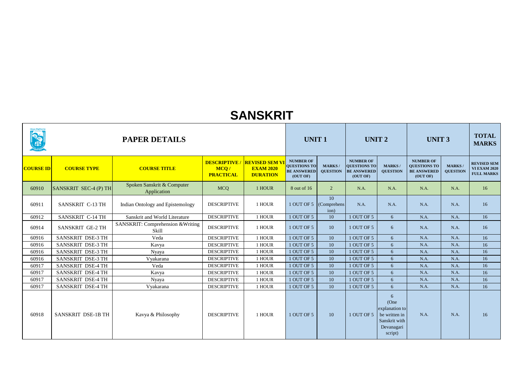|                  |                          | <b>PAPER DETAILS</b>                       |                                                |                                                             | <b>UNIT1</b><br><b>NUMBER OF</b>                      |                                  | <b>UNIT 2</b>                                                      |                                                                                        | <b>UNIT 3</b>                                                             |                                   | <b>TOTAL</b><br><b>MARKS</b>                                   |
|------------------|--------------------------|--------------------------------------------|------------------------------------------------|-------------------------------------------------------------|-------------------------------------------------------|----------------------------------|--------------------------------------------------------------------|----------------------------------------------------------------------------------------|---------------------------------------------------------------------------|-----------------------------------|----------------------------------------------------------------|
| <b>COURSE ID</b> | <b>COURSE TYPE</b>       | <b>COURSE TITLE</b>                        | <b>DESCRIPTIVE</b><br>MCQ/<br><b>PRACTICAL</b> | <b>REVISED SEM V</b><br><b>EXAM 2020</b><br><b>DURATION</b> | <b>QUESTIONS TO</b><br><b>BE ANSWERED</b><br>(OUT OF) | <b>MARKS/</b><br><b>QUESTION</b> | <b>NUMBER OF</b><br>QUESTIONS TO<br><b>BE ANSWERED</b><br>(OUT OF) | <b>MARKS/</b><br><b>QUESTION</b>                                                       | <b>NUMBER OF</b><br><b>QUESTIONS TO</b><br><b>BE ANSWERED</b><br>(OUT OF) | <b>MARKS</b> /<br><b>QUESTION</b> | <b>REVISED SEM</b><br><b>VI EXAM 2020</b><br><b>FULL MARKS</b> |
| 60910            | SANSKRIT SEC-4 (P) TH    | Spoken Sanskrit & Computer<br>Application  | <b>MCQ</b>                                     | 1 HOUR                                                      | 8 out of 16                                           | $\overline{2}$                   | N.A.                                                               | N.A.                                                                                   | N.A.                                                                      | N.A.                              | 16                                                             |
| 60911            | SANSKRIT C-13 TH         | Indian Ontology and Epistemology           | <b>DESCRIPTIVE</b>                             | 1 HOUR                                                      | 1 OUT OF 5                                            | 10<br>(Comprehens)<br>ion)       | N.A.                                                               | N.A.                                                                                   | N.A.                                                                      | N.A.                              | 16                                                             |
| 60912            | SANSKRIT C-14 TH         | Sanskrit and World Literature              | <b>DESCRIPTIVE</b>                             | 1 HOUR                                                      | 1 OUT OF 5                                            | 10                               | 1 OUT OF 5                                                         | 6                                                                                      | N.A.                                                                      | N.A.                              | 16                                                             |
| 60914            | SANSKRIT GE-2 TH         | SANSKRIT: Comprehension & Writing<br>Skill | <b>DESCRIPTIVE</b>                             | 1 HOUR                                                      | 1 OUT OF 5                                            | 10                               | 1 OUT OF 5                                                         | 6                                                                                      | N.A.                                                                      | N.A.                              | 16                                                             |
| 60916            | SANSKRIT DSE-3 TH        | Veda                                       | <b>DESCRIPTIVE</b>                             | 1 HOUR                                                      | 1 OUT OF 5                                            | 10                               | 1 OUT OF 5                                                         | 6                                                                                      | N.A.                                                                      | N.A.                              | 16                                                             |
| 60916            | SANSKRIT DSE-3 TH        | Kavya                                      | <b>DESCRIPTIVE</b>                             | 1 HOUR                                                      | 1 OUT OF 5                                            | 10                               | 1 OUT OF 5                                                         | 6                                                                                      | N.A.                                                                      | N.A.                              | 16                                                             |
| 60916            | SANSKRIT DSE-3 TH        | Nyaya                                      | <b>DESCRIPTIVE</b>                             | 1 HOUR                                                      | 1 OUT OF 5                                            | 10                               | 1 OUT OF 5                                                         | 6                                                                                      | N.A.                                                                      | N.A.                              | 16                                                             |
| 60916            | SANSKRIT DSE-3 TH        | Vyakarana                                  | <b>DESCRIPTIVE</b>                             | 1 HOUR                                                      | 1 OUT OF 5                                            | 10                               | 1 OUT OF 5                                                         | 6                                                                                      | N.A.                                                                      | N.A.                              | 16                                                             |
| 60917            | SANSKRIT DSE-4 TH        | Veda                                       | <b>DESCRIPTIVE</b>                             | 1 HOUR                                                      | 1 OUT OF 5                                            | 10                               | 1 OUT OF 5                                                         | 6                                                                                      | N.A.                                                                      | N.A.                              | 16                                                             |
| 60917            | <b>SANSKRIT DSE-4 TH</b> | Kavya                                      | <b>DESCRIPTIVE</b>                             | 1 HOUR                                                      | 1 OUT OF 5                                            | 10                               | 1 OUT OF 5                                                         | 6                                                                                      | N.A.                                                                      | N.A.                              | 16                                                             |
| 60917            | SANSKRIT DSE-4 TH        | Nyaya                                      | <b>DESCRIPTIVE</b>                             | 1 HOUR                                                      | 1 OUT OF 5                                            | 10                               | 1 OUT OF 5                                                         | 6                                                                                      | N.A.                                                                      | N.A.                              | 16                                                             |
| 60917            | SANSKRIT DSE-4 TH        | Vyakarana                                  | <b>DESCRIPTIVE</b>                             | 1 HOUR                                                      | 1 OUT OF 5                                            | 10                               | 1 OUT OF 5                                                         | 6                                                                                      | N.A.                                                                      | N.A.                              | 16                                                             |
| 60918            | SANSKRIT DSE-1B TH       | Kavya & Philosophy                         | <b>DESCRIPTIVE</b>                             | 1 HOUR                                                      | 1 OUT OF 5                                            | 10                               | 1 OUT OF 5                                                         | 6<br>(One<br>explanation to<br>be written in<br>Sanskrit with<br>Devanagari<br>script) | N.A.                                                                      | N.A.                              | 16                                                             |

### **SANSKRIT**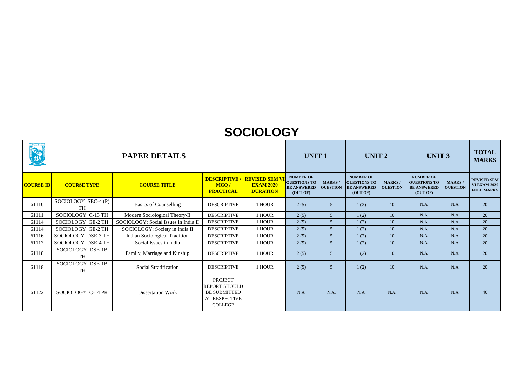| liଫୁ <b>ଓ଼ା ।ସି</b> ଜ୍ପାସିମ୍ୟା <sup>ନ</sup><br><b>PARTIES</b> |                                  | <b>PAPER DETAILS</b>                 |                                                                                                         |                                                              | <b>UNIT 1</b>                                                             |                                  | <b>UNIT 2</b>                                                      |                                  | <b>UNIT 3</b>                                                             |                                 | <b>TOTAL</b><br><b>MARKS</b>                                   |
|---------------------------------------------------------------|----------------------------------|--------------------------------------|---------------------------------------------------------------------------------------------------------|--------------------------------------------------------------|---------------------------------------------------------------------------|----------------------------------|--------------------------------------------------------------------|----------------------------------|---------------------------------------------------------------------------|---------------------------------|----------------------------------------------------------------|
| <b>COURSE ID</b>                                              | <b>COURSE TYPE</b>               | <b>COURSE TITLE</b>                  | <b>DESCRIPTIVE/</b><br>MCQ/<br><b>PRACTICAL</b>                                                         | <b>REVISED SEM VI</b><br><b>EXAM 2020</b><br><b>DURATION</b> | <b>NUMBER OF</b><br><b>QUESTIONS TO</b><br><b>BE ANSWERED</b><br>(OUT OF) | <b>MARKS/</b><br><b>QUESTION</b> | <b>NUMBER OF</b><br>QUESTIONS TO<br><b>BE ANSWERED</b><br>(OUT OF) | <b>MARKS/</b><br><b>QUESTION</b> | <b>NUMBER OF</b><br><b>QUESTIONS TO</b><br><b>BE ANSWERED</b><br>(OUT OF) | <b>MARKS</b><br><b>QUESTION</b> | <b>REVISED SEM</b><br><b>VI EXAM 2020</b><br><b>FULL MARKS</b> |
| 61110                                                         | SOCIOLOGY SEC-4 (P)<br><b>TH</b> | <b>Basics of Counselling</b>         | <b>DESCRIPTIVE</b>                                                                                      | 1 HOUR                                                       | 2(5)                                                                      | 5 <sup>5</sup>                   | 1(2)                                                               | 10                               | N.A.                                                                      | N.A.                            | 20                                                             |
| 61111                                                         | SOCIOLOGY C-13 TH                | Modern Sociological Theory-II        | <b>DESCRIPTIVE</b>                                                                                      | 1 HOUR                                                       | 2(5)                                                                      | 5 <sup>5</sup>                   | 1(2)                                                               | 10                               | N.A.                                                                      | N.A.                            | 20                                                             |
| 61114                                                         | SOCIOLOGY GE-2 TH                | SOCIOLOGY: Social Issues in India II | <b>DESCRIPTIVE</b>                                                                                      | 1 HOUR                                                       | 2(5)                                                                      | 5 <sup>5</sup>                   | 1(2)                                                               | 10                               | N.A.                                                                      | N.A.                            | 20                                                             |
| 61114                                                         | SOCIOLOGY GE-2 TH                | SOCIOLOGY: Society in India II       | <b>DESCRIPTIVE</b>                                                                                      | 1 HOUR                                                       | 2(5)                                                                      | 5                                | 1(2)                                                               | 10                               | N.A.                                                                      | N.A.                            | 20                                                             |
| 61116                                                         | SOCIOLOGY DSE-3 TH               | <b>Indian Sociological Tradition</b> | <b>DESCRIPTIVE</b>                                                                                      | 1 HOUR                                                       | 2(5)                                                                      | 5 <sup>5</sup>                   | 1(2)                                                               | 10                               | N.A.                                                                      | N.A.                            | 20                                                             |
| 61117                                                         | SOCIOLOGY DSE-4 TH               | Social Issues in India               | <b>DESCRIPTIVE</b>                                                                                      | 1 HOUR                                                       | 2(5)                                                                      | 5 <sup>5</sup>                   | 1(2)                                                               | 10                               | N.A.                                                                      | N.A.                            | 20                                                             |
| 61118                                                         | SOCIOLOGY DSE-1B<br><b>TH</b>    | Family, Marriage and Kinship         | <b>DESCRIPTIVE</b>                                                                                      | 1 HOUR                                                       | 2(5)                                                                      | 5 <sup>5</sup>                   | 1(2)                                                               | 10                               | N.A.                                                                      | N.A.                            | 20                                                             |
| 61118                                                         | SOCIOLOGY DSE-1B<br><b>TH</b>    | <b>Social Stratification</b>         | <b>DESCRIPTIVE</b>                                                                                      | 1 HOUR                                                       | 2(5)                                                                      | 5 <sup>5</sup>                   | 1(2)                                                               | 10                               | N.A.                                                                      | N.A.                            | 20                                                             |
| 61122                                                         | SOCIOLOGY C-14 PR                | <b>Dissertation Work</b>             | <b>PROJECT</b><br><b>REPORT SHOULD</b><br><b>BE SUBMITTED</b><br><b>AT RESPECTIVE</b><br><b>COLLEGE</b> |                                                              | N.A.                                                                      | N.A.                             | N.A.                                                               | N.A.                             | N.A.                                                                      | N.A.                            | 40                                                             |

### **SOCIOLOGY**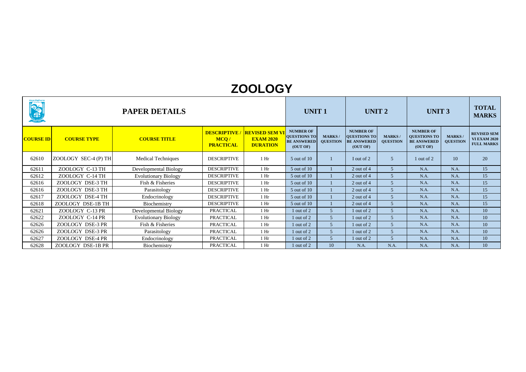| <b>ONE</b>       | <b>PAPER DETAILS</b> |                              |                          |                                                                            | <b>UNIT1</b>                                                              |                                  | <b>UNIT 2</b>                                                      |                                   | <b>UNIT 3</b>                                                             |                                 | <b>TOTAL</b><br><b>MARKS</b>                                   |
|------------------|----------------------|------------------------------|--------------------------|----------------------------------------------------------------------------|---------------------------------------------------------------------------|----------------------------------|--------------------------------------------------------------------|-----------------------------------|---------------------------------------------------------------------------|---------------------------------|----------------------------------------------------------------|
| <b>COURSE ID</b> | <b>COURSE TYPE</b>   | <b>COURSE TITLE</b>          | MCQ/<br><b>PRACTICAL</b> | <b>DESCRIPTIVE / REVISED SEM VI</b><br><b>EXAM 2020</b><br><b>DURATION</b> | <b>NUMBER OF</b><br><b>QUESTIONS TO</b><br><b>BE ANSWERED</b><br>(OUT OF) | <b>MARKS/</b><br><b>QUESTION</b> | <b>NUMBER OF</b><br>QUESTIONS TO<br><b>BE ANSWERED</b><br>(OUT OF) | <b>MARKS</b> /<br><b>QUESTION</b> | <b>NUMBER OF</b><br><b>QUESTIONS TO</b><br><b>BE ANSWERED</b><br>(OUT OF) | <b>MARKS</b><br><b>QUESTION</b> | <b>REVISED SEM</b><br><b>VI EXAM 2020</b><br><b>FULL MARKS</b> |
| 62610            | ZOOLOGY SEC-4 (P) TH | <b>Medical Techniques</b>    | <b>DESCRIPTIVE</b>       | 1 <sub>hr</sub>                                                            | 5 out of 10                                                               |                                  | I out of 2                                                         | $\overline{5}$                    | 1 out of 2                                                                | 10                              | 20                                                             |
| 62611            | ZOOLOGY C-13 TH      | <b>Developmental Biology</b> | <b>DESCRIPTIVE</b>       | $1$ Hr                                                                     | 5 out of 10                                                               |                                  | 2 out of 4                                                         | $\overline{5}$                    | N.A.                                                                      | N.A.                            | 15                                                             |
| 62612            | ZOOLOGY C-14 TH      | <b>Evolutionary Biology</b>  | <b>DESCRIPTIVE</b>       | 1 <sub>hr</sub>                                                            | 5 out of 10                                                               |                                  | 2 out of 4                                                         | .5                                | N.A.                                                                      | N.A.                            | 15                                                             |
| 62616            | ZOOLOGY DSE-3 TH     | Fish & Fisheries             | <b>DESCRIPTIVE</b>       | $1$ Hr                                                                     | 5 out of 10                                                               |                                  | 2 out of 4                                                         | $\overline{5}$                    | N.A.                                                                      | N.A.                            | 15                                                             |
| 62616            | ZOOLOGY DSE-3 TH     | Parasitology                 | <b>DESCRIPTIVE</b>       | $1$ Hr                                                                     | 5 out of 10                                                               |                                  | 2 out of 4                                                         | 5 <sup>5</sup>                    | N.A.                                                                      | N.A.                            | 15                                                             |
| 62617            | ZOOLOGY DSE-4 TH     | Endocrinology                | <b>DESCRIPTIVE</b>       | 1 <sub>hr</sub>                                                            | 5 out of 10                                                               |                                  | $2$ out of 4                                                       | .5                                | N.A.                                                                      | N.A.                            | 15                                                             |
| 62618            | ZOOLOGY DSE-1B TH    | Biochemistry                 | <b>DESCRIPTIVE</b>       | $1$ Hr                                                                     | 5 out of 10                                                               |                                  | 2 out of 4                                                         | $\overline{5}$                    | N.A.                                                                      | N.A.                            | 15                                                             |
| 62621            | ZOOLOGY C-13 PR      | <b>Developmental Biology</b> | <b>PRACTICAL</b>         | $1$ Hr                                                                     | $1$ out of $2$                                                            | 5                                | 1 out of 2                                                         | 5 <sup>5</sup>                    | N.A.                                                                      | N.A.                            | 10                                                             |
| 62622            | ZOOLOGY C-14 PR      | <b>Evolutionary Biology</b>  | <b>PRACTICAL</b>         | $1$ Hr                                                                     | l out of 2                                                                | 5                                | 1 out of 2                                                         |                                   | N.A.                                                                      | N.A.                            | 10                                                             |
| 62626            | ZOOLOGY DSE-3 PR     | Fish & Fisheries             | <b>PRACTICAL</b>         | $1$ Hr                                                                     | l out of 2                                                                | 5                                | 1 out of 2                                                         | $\overline{5}$                    | N.A.                                                                      | N.A.                            | 10                                                             |
| 62626            | ZOOLOGY DSE-3 PR     | Parasitology                 | <b>PRACTICAL</b>         | $1$ Hr                                                                     | $1$ out of 2                                                              | 5 <sup>5</sup>                   | 1 out of 2                                                         | 5 <sup>5</sup>                    | N.A.                                                                      | N.A.                            | 10                                                             |
| 62627            | ZOOLOGY DSE-4 PR     | Endocrinology                | <b>PRACTICAL</b>         | $1$ Hr                                                                     | $\vert$ out of 2                                                          | 5                                | 1 out of 2                                                         |                                   | N.A.                                                                      | N.A.                            | 10                                                             |
| 62628            | ZOOLOGY DSE-1B PR    | Biochemistry                 | <b>PRACTICAL</b>         | $1$ Hr                                                                     | $\vert$ out of 2                                                          | 10                               | N.A.                                                               | N.A.                              | N.A.                                                                      | N.A.                            | 10                                                             |

#### **ZOOLOGY**